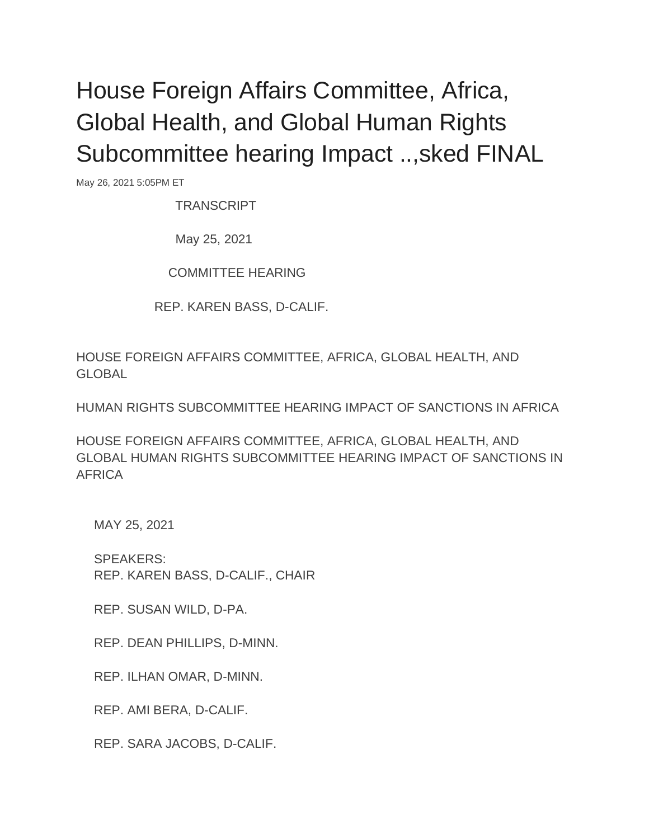## House Foreign Affairs Committee, Africa, Global Health, and Global Human Rights Subcommittee hearing Impact ..,sked FINAL

May 26, 2021 5:05PM ET

**TRANSCRIPT** 

May 25, 2021

COMMITTEE HEARING

REP. KAREN BASS, D-CALIF.

HOUSE FOREIGN AFFAIRS COMMITTEE, AFRICA, GLOBAL HEALTH, AND GLOBAL

HUMAN RIGHTS SUBCOMMITTEE HEARING IMPACT OF SANCTIONS IN AFRICA

HOUSE FOREIGN AFFAIRS COMMITTEE, AFRICA, GLOBAL HEALTH, AND GLOBAL HUMAN RIGHTS SUBCOMMITTEE HEARING IMPACT OF SANCTIONS IN AFRICA

MAY 25, 2021

 SPEAKERS: REP. KAREN BASS, D-CALIF., CHAIR

REP. SUSAN WILD, D-PA.

REP. DEAN PHILLIPS, D-MINN.

REP. ILHAN OMAR, D-MINN.

REP. AMI BERA, D-CALIF.

REP. SARA JACOBS, D-CALIF.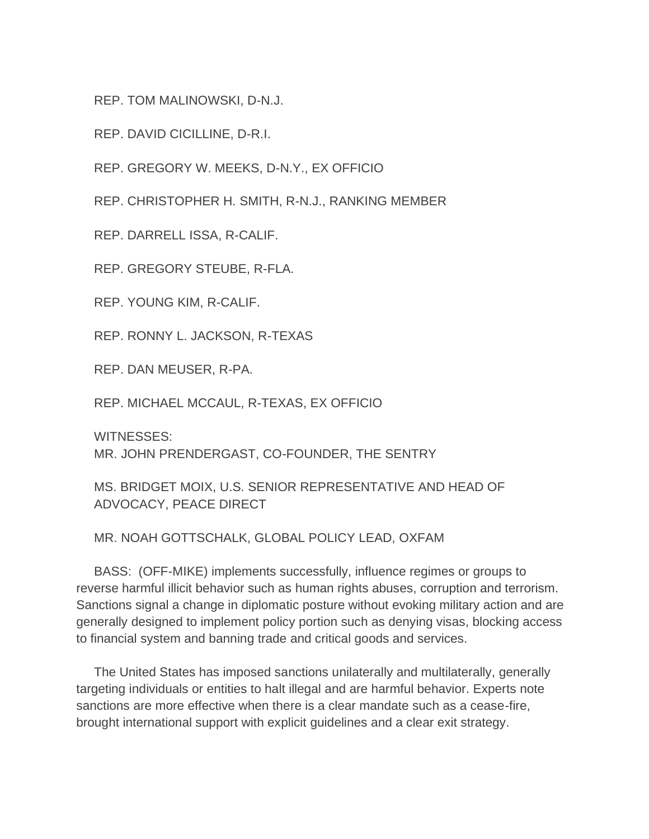REP. TOM MALINOWSKI, D-N.J.

REP. DAVID CICILLINE, D-R.I.

REP. GREGORY W. MEEKS, D-N.Y., EX OFFICIO

REP. CHRISTOPHER H. SMITH, R-N.J., RANKING MEMBER

REP. DARRELL ISSA, R-CALIF.

REP. GREGORY STEUBE, R-FLA.

REP. YOUNG KIM, R-CALIF.

REP. RONNY L. JACKSON, R-TEXAS

REP. DAN MEUSER, R-PA.

REP. MICHAEL MCCAUL, R-TEXAS, EX OFFICIO

WITNESSES: MR. JOHN PRENDERGAST, CO-FOUNDER, THE SENTRY

 MS. BRIDGET MOIX, U.S. SENIOR REPRESENTATIVE AND HEAD OF ADVOCACY, PEACE DIRECT

MR. NOAH GOTTSCHALK, GLOBAL POLICY LEAD, OXFAM

 BASS: (OFF-MIKE) implements successfully, influence regimes or groups to reverse harmful illicit behavior such as human rights abuses, corruption and terrorism. Sanctions signal a change in diplomatic posture without evoking military action and are generally designed to implement policy portion such as denying visas, blocking access to financial system and banning trade and critical goods and services.

 The United States has imposed sanctions unilaterally and multilaterally, generally targeting individuals or entities to halt illegal and are harmful behavior. Experts note sanctions are more effective when there is a clear mandate such as a cease-fire, brought international support with explicit guidelines and a clear exit strategy.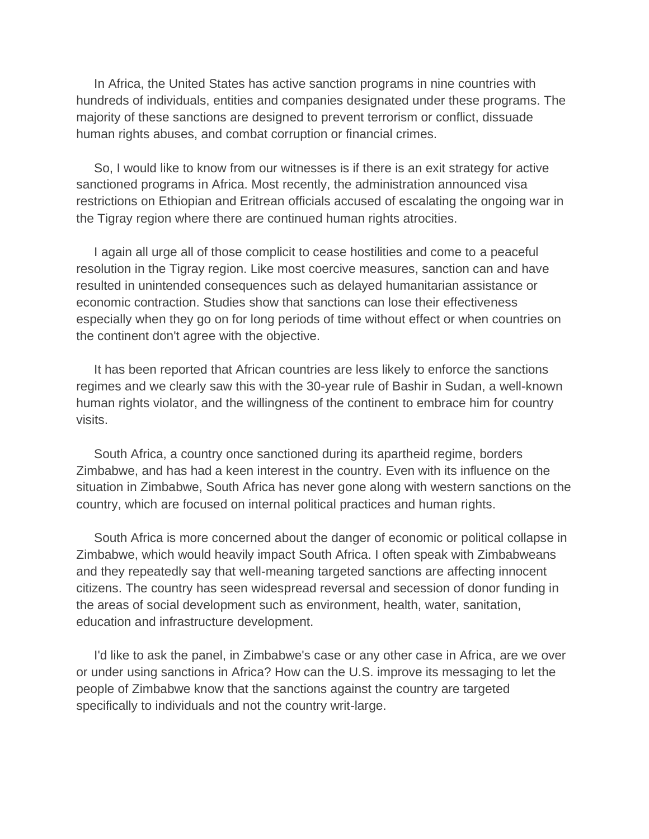In Africa, the United States has active sanction programs in nine countries with hundreds of individuals, entities and companies designated under these programs. The majority of these sanctions are designed to prevent terrorism or conflict, dissuade human rights abuses, and combat corruption or financial crimes.

 So, I would like to know from our witnesses is if there is an exit strategy for active sanctioned programs in Africa. Most recently, the administration announced visa restrictions on Ethiopian and Eritrean officials accused of escalating the ongoing war in the Tigray region where there are continued human rights atrocities.

 I again all urge all of those complicit to cease hostilities and come to a peaceful resolution in the Tigray region. Like most coercive measures, sanction can and have resulted in unintended consequences such as delayed humanitarian assistance or economic contraction. Studies show that sanctions can lose their effectiveness especially when they go on for long periods of time without effect or when countries on the continent don't agree with the objective.

 It has been reported that African countries are less likely to enforce the sanctions regimes and we clearly saw this with the 30-year rule of Bashir in Sudan, a well-known human rights violator, and the willingness of the continent to embrace him for country visits.

 South Africa, a country once sanctioned during its apartheid regime, borders Zimbabwe, and has had a keen interest in the country. Even with its influence on the situation in Zimbabwe, South Africa has never gone along with western sanctions on the country, which are focused on internal political practices and human rights.

 South Africa is more concerned about the danger of economic or political collapse in Zimbabwe, which would heavily impact South Africa. I often speak with Zimbabweans and they repeatedly say that well-meaning targeted sanctions are affecting innocent citizens. The country has seen widespread reversal and secession of donor funding in the areas of social development such as environment, health, water, sanitation, education and infrastructure development.

 I'd like to ask the panel, in Zimbabwe's case or any other case in Africa, are we over or under using sanctions in Africa? How can the U.S. improve its messaging to let the people of Zimbabwe know that the sanctions against the country are targeted specifically to individuals and not the country writ-large.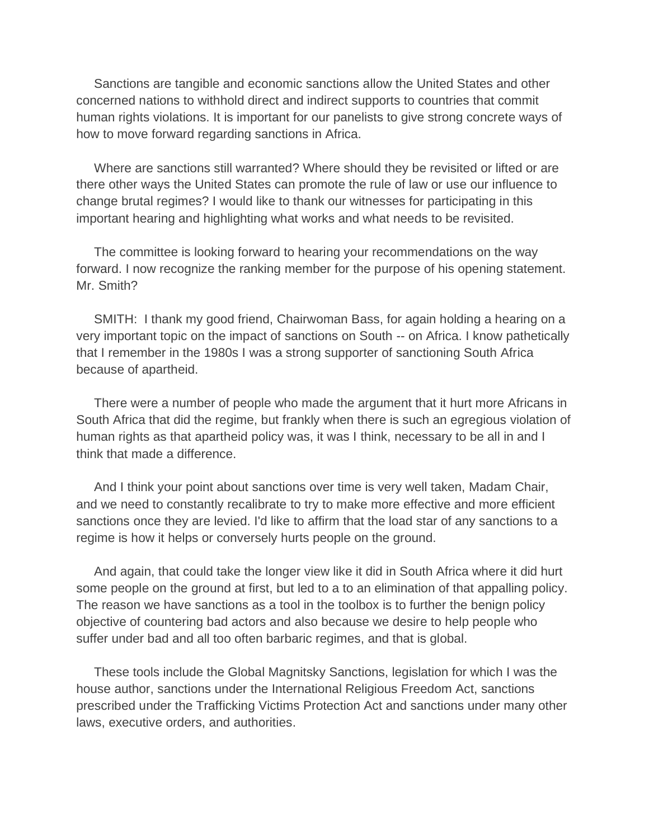Sanctions are tangible and economic sanctions allow the United States and other concerned nations to withhold direct and indirect supports to countries that commit human rights violations. It is important for our panelists to give strong concrete ways of how to move forward regarding sanctions in Africa.

 Where are sanctions still warranted? Where should they be revisited or lifted or are there other ways the United States can promote the rule of law or use our influence to change brutal regimes? I would like to thank our witnesses for participating in this important hearing and highlighting what works and what needs to be revisited.

 The committee is looking forward to hearing your recommendations on the way forward. I now recognize the ranking member for the purpose of his opening statement. Mr. Smith?

 SMITH: I thank my good friend, Chairwoman Bass, for again holding a hearing on a very important topic on the impact of sanctions on South -- on Africa. I know pathetically that I remember in the 1980s I was a strong supporter of sanctioning South Africa because of apartheid.

 There were a number of people who made the argument that it hurt more Africans in South Africa that did the regime, but frankly when there is such an egregious violation of human rights as that apartheid policy was, it was I think, necessary to be all in and I think that made a difference.

 And I think your point about sanctions over time is very well taken, Madam Chair, and we need to constantly recalibrate to try to make more effective and more efficient sanctions once they are levied. I'd like to affirm that the load star of any sanctions to a regime is how it helps or conversely hurts people on the ground.

 And again, that could take the longer view like it did in South Africa where it did hurt some people on the ground at first, but led to a to an elimination of that appalling policy. The reason we have sanctions as a tool in the toolbox is to further the benign policy objective of countering bad actors and also because we desire to help people who suffer under bad and all too often barbaric regimes, and that is global.

 These tools include the Global Magnitsky Sanctions, legislation for which I was the house author, sanctions under the International Religious Freedom Act, sanctions prescribed under the Trafficking Victims Protection Act and sanctions under many other laws, executive orders, and authorities.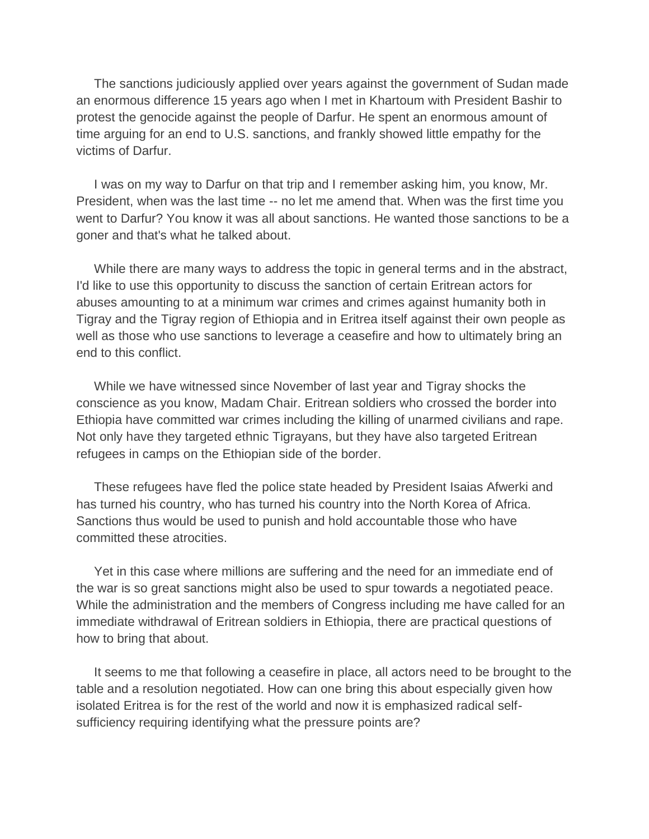The sanctions judiciously applied over years against the government of Sudan made an enormous difference 15 years ago when I met in Khartoum with President Bashir to protest the genocide against the people of Darfur. He spent an enormous amount of time arguing for an end to U.S. sanctions, and frankly showed little empathy for the victims of Darfur.

 I was on my way to Darfur on that trip and I remember asking him, you know, Mr. President, when was the last time -- no let me amend that. When was the first time you went to Darfur? You know it was all about sanctions. He wanted those sanctions to be a goner and that's what he talked about.

 While there are many ways to address the topic in general terms and in the abstract, I'd like to use this opportunity to discuss the sanction of certain Eritrean actors for abuses amounting to at a minimum war crimes and crimes against humanity both in Tigray and the Tigray region of Ethiopia and in Eritrea itself against their own people as well as those who use sanctions to leverage a ceasefire and how to ultimately bring an end to this conflict.

 While we have witnessed since November of last year and Tigray shocks the conscience as you know, Madam Chair. Eritrean soldiers who crossed the border into Ethiopia have committed war crimes including the killing of unarmed civilians and rape. Not only have they targeted ethnic Tigrayans, but they have also targeted Eritrean refugees in camps on the Ethiopian side of the border.

 These refugees have fled the police state headed by President Isaias Afwerki and has turned his country, who has turned his country into the North Korea of Africa. Sanctions thus would be used to punish and hold accountable those who have committed these atrocities.

 Yet in this case where millions are suffering and the need for an immediate end of the war is so great sanctions might also be used to spur towards a negotiated peace. While the administration and the members of Congress including me have called for an immediate withdrawal of Eritrean soldiers in Ethiopia, there are practical questions of how to bring that about.

 It seems to me that following a ceasefire in place, all actors need to be brought to the table and a resolution negotiated. How can one bring this about especially given how isolated Eritrea is for the rest of the world and now it is emphasized radical selfsufficiency requiring identifying what the pressure points are?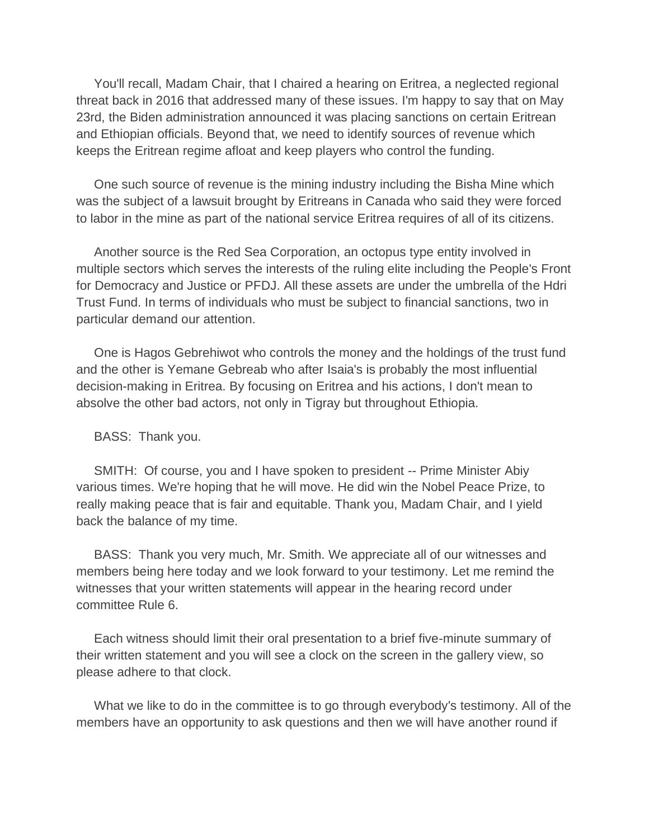You'll recall, Madam Chair, that I chaired a hearing on Eritrea, a neglected regional threat back in 2016 that addressed many of these issues. I'm happy to say that on May 23rd, the Biden administration announced it was placing sanctions on certain Eritrean and Ethiopian officials. Beyond that, we need to identify sources of revenue which keeps the Eritrean regime afloat and keep players who control the funding.

 One such source of revenue is the mining industry including the Bisha Mine which was the subject of a lawsuit brought by Eritreans in Canada who said they were forced to labor in the mine as part of the national service Eritrea requires of all of its citizens.

 Another source is the Red Sea Corporation, an octopus type entity involved in multiple sectors which serves the interests of the ruling elite including the People's Front for Democracy and Justice or PFDJ. All these assets are under the umbrella of the Hdri Trust Fund. In terms of individuals who must be subject to financial sanctions, two in particular demand our attention.

 One is Hagos Gebrehiwot who controls the money and the holdings of the trust fund and the other is Yemane Gebreab who after Isaia's is probably the most influential decision-making in Eritrea. By focusing on Eritrea and his actions, I don't mean to absolve the other bad actors, not only in Tigray but throughout Ethiopia.

BASS: Thank you.

 SMITH: Of course, you and I have spoken to president -- Prime Minister Abiy various times. We're hoping that he will move. He did win the Nobel Peace Prize, to really making peace that is fair and equitable. Thank you, Madam Chair, and I yield back the balance of my time.

 BASS: Thank you very much, Mr. Smith. We appreciate all of our witnesses and members being here today and we look forward to your testimony. Let me remind the witnesses that your written statements will appear in the hearing record under committee Rule 6.

 Each witness should limit their oral presentation to a brief five-minute summary of their written statement and you will see a clock on the screen in the gallery view, so please adhere to that clock.

 What we like to do in the committee is to go through everybody's testimony. All of the members have an opportunity to ask questions and then we will have another round if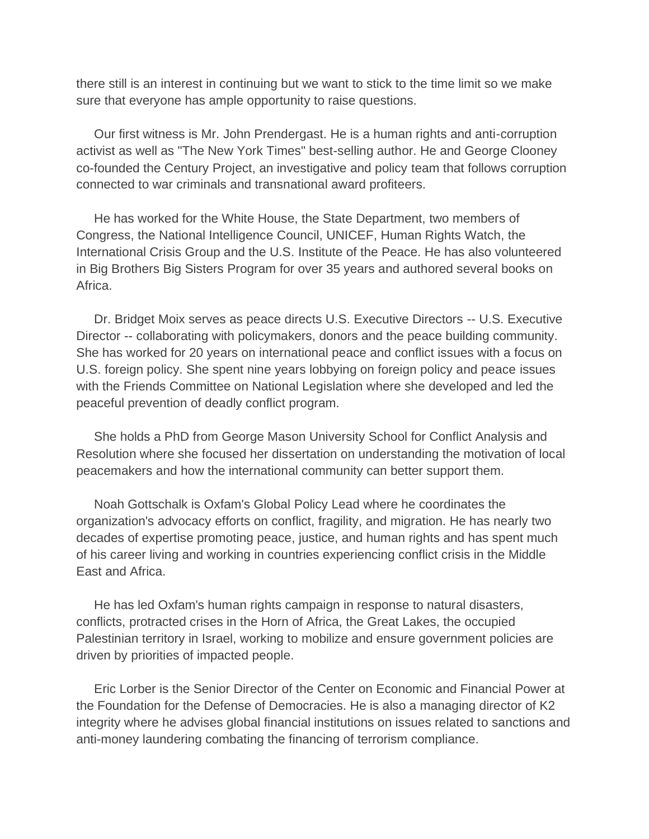there still is an interest in continuing but we want to stick to the time limit so we make sure that everyone has ample opportunity to raise questions.

 Our first witness is Mr. John Prendergast. He is a human rights and anti-corruption activist as well as "The New York Times" best-selling author. He and George Clooney co-founded the Century Project, an investigative and policy team that follows corruption connected to war criminals and transnational award profiteers.

 He has worked for the White House, the State Department, two members of Congress, the National Intelligence Council, UNICEF, Human Rights Watch, the International Crisis Group and the U.S. Institute of the Peace. He has also volunteered in Big Brothers Big Sisters Program for over 35 years and authored several books on Africa.

 Dr. Bridget Moix serves as peace directs U.S. Executive Directors -- U.S. Executive Director -- collaborating with policymakers, donors and the peace building community. She has worked for 20 years on international peace and conflict issues with a focus on U.S. foreign policy. She spent nine years lobbying on foreign policy and peace issues with the Friends Committee on National Legislation where she developed and led the peaceful prevention of deadly conflict program.

 She holds a PhD from George Mason University School for Conflict Analysis and Resolution where she focused her dissertation on understanding the motivation of local peacemakers and how the international community can better support them.

 Noah Gottschalk is Oxfam's Global Policy Lead where he coordinates the organization's advocacy efforts on conflict, fragility, and migration. He has nearly two decades of expertise promoting peace, justice, and human rights and has spent much of his career living and working in countries experiencing conflict crisis in the Middle East and Africa.

 He has led Oxfam's human rights campaign in response to natural disasters, conflicts, protracted crises in the Horn of Africa, the Great Lakes, the occupied Palestinian territory in Israel, working to mobilize and ensure government policies are driven by priorities of impacted people.

 Eric Lorber is the Senior Director of the Center on Economic and Financial Power at the Foundation for the Defense of Democracies. He is also a managing director of K2 integrity where he advises global financial institutions on issues related to sanctions and anti-money laundering combating the financing of terrorism compliance.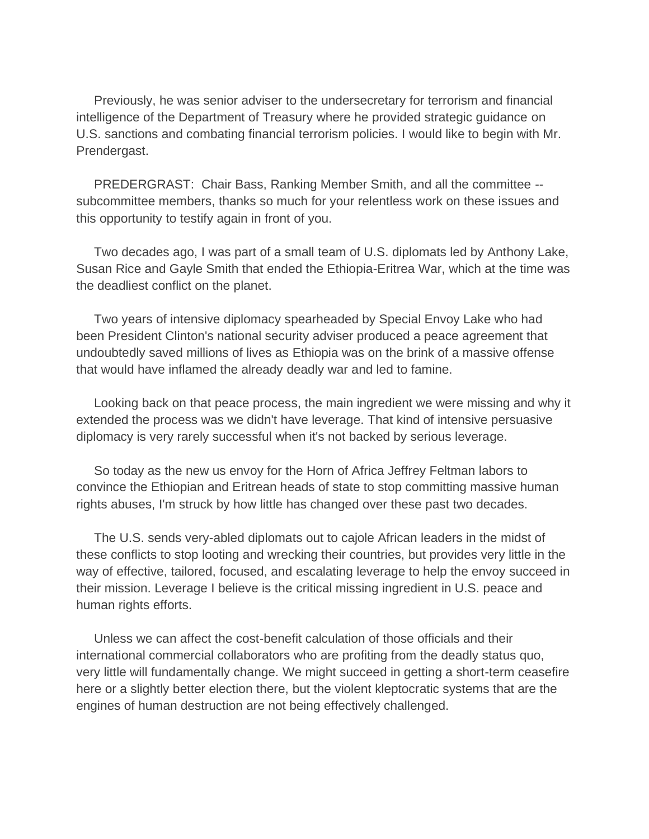Previously, he was senior adviser to the undersecretary for terrorism and financial intelligence of the Department of Treasury where he provided strategic guidance on U.S. sanctions and combating financial terrorism policies. I would like to begin with Mr. Prendergast.

 PREDERGRAST: Chair Bass, Ranking Member Smith, and all the committee - subcommittee members, thanks so much for your relentless work on these issues and this opportunity to testify again in front of you.

 Two decades ago, I was part of a small team of U.S. diplomats led by Anthony Lake, Susan Rice and Gayle Smith that ended the Ethiopia-Eritrea War, which at the time was the deadliest conflict on the planet.

 Two years of intensive diplomacy spearheaded by Special Envoy Lake who had been President Clinton's national security adviser produced a peace agreement that undoubtedly saved millions of lives as Ethiopia was on the brink of a massive offense that would have inflamed the already deadly war and led to famine.

 Looking back on that peace process, the main ingredient we were missing and why it extended the process was we didn't have leverage. That kind of intensive persuasive diplomacy is very rarely successful when it's not backed by serious leverage.

 So today as the new us envoy for the Horn of Africa Jeffrey Feltman labors to convince the Ethiopian and Eritrean heads of state to stop committing massive human rights abuses, I'm struck by how little has changed over these past two decades.

 The U.S. sends very-abled diplomats out to cajole African leaders in the midst of these conflicts to stop looting and wrecking their countries, but provides very little in the way of effective, tailored, focused, and escalating leverage to help the envoy succeed in their mission. Leverage I believe is the critical missing ingredient in U.S. peace and human rights efforts.

 Unless we can affect the cost-benefit calculation of those officials and their international commercial collaborators who are profiting from the deadly status quo, very little will fundamentally change. We might succeed in getting a short-term ceasefire here or a slightly better election there, but the violent kleptocratic systems that are the engines of human destruction are not being effectively challenged.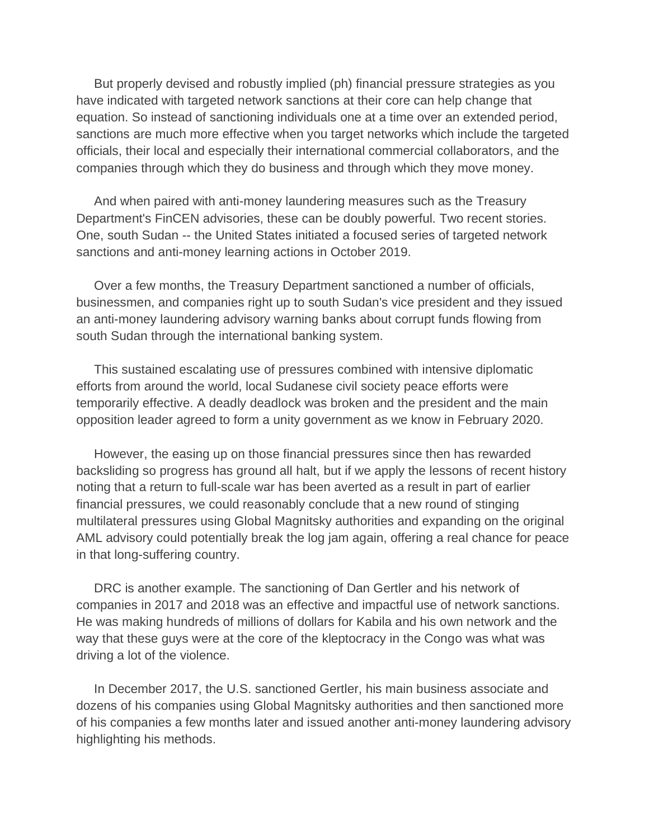But properly devised and robustly implied (ph) financial pressure strategies as you have indicated with targeted network sanctions at their core can help change that equation. So instead of sanctioning individuals one at a time over an extended period, sanctions are much more effective when you target networks which include the targeted officials, their local and especially their international commercial collaborators, and the companies through which they do business and through which they move money.

 And when paired with anti-money laundering measures such as the Treasury Department's FinCEN advisories, these can be doubly powerful. Two recent stories. One, south Sudan -- the United States initiated a focused series of targeted network sanctions and anti-money learning actions in October 2019.

 Over a few months, the Treasury Department sanctioned a number of officials, businessmen, and companies right up to south Sudan's vice president and they issued an anti-money laundering advisory warning banks about corrupt funds flowing from south Sudan through the international banking system.

 This sustained escalating use of pressures combined with intensive diplomatic efforts from around the world, local Sudanese civil society peace efforts were temporarily effective. A deadly deadlock was broken and the president and the main opposition leader agreed to form a unity government as we know in February 2020.

 However, the easing up on those financial pressures since then has rewarded backsliding so progress has ground all halt, but if we apply the lessons of recent history noting that a return to full-scale war has been averted as a result in part of earlier financial pressures, we could reasonably conclude that a new round of stinging multilateral pressures using Global Magnitsky authorities and expanding on the original AML advisory could potentially break the log jam again, offering a real chance for peace in that long-suffering country.

 DRC is another example. The sanctioning of Dan Gertler and his network of companies in 2017 and 2018 was an effective and impactful use of network sanctions. He was making hundreds of millions of dollars for Kabila and his own network and the way that these guys were at the core of the kleptocracy in the Congo was what was driving a lot of the violence.

 In December 2017, the U.S. sanctioned Gertler, his main business associate and dozens of his companies using Global Magnitsky authorities and then sanctioned more of his companies a few months later and issued another anti-money laundering advisory highlighting his methods.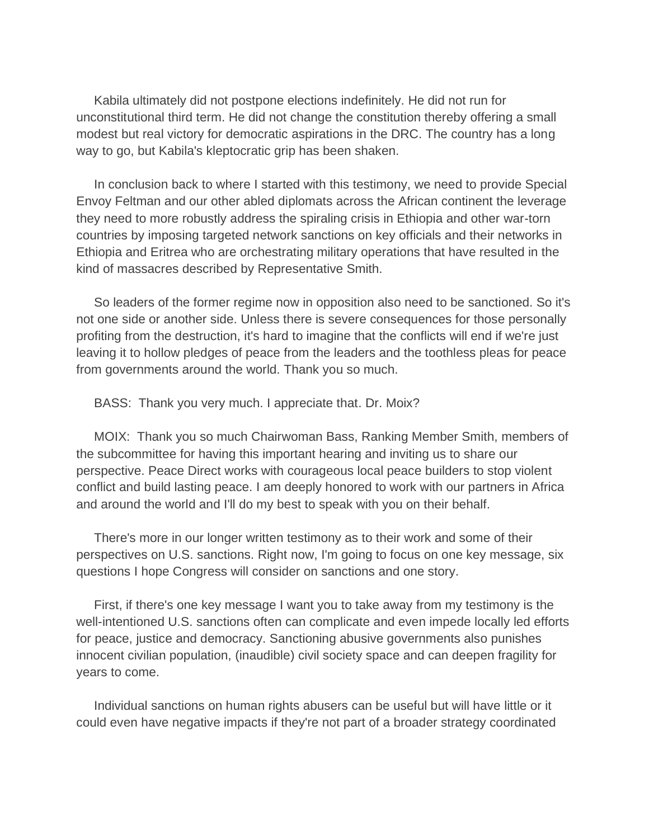Kabila ultimately did not postpone elections indefinitely. He did not run for unconstitutional third term. He did not change the constitution thereby offering a small modest but real victory for democratic aspirations in the DRC. The country has a long way to go, but Kabila's kleptocratic grip has been shaken.

 In conclusion back to where I started with this testimony, we need to provide Special Envoy Feltman and our other abled diplomats across the African continent the leverage they need to more robustly address the spiraling crisis in Ethiopia and other war-torn countries by imposing targeted network sanctions on key officials and their networks in Ethiopia and Eritrea who are orchestrating military operations that have resulted in the kind of massacres described by Representative Smith.

 So leaders of the former regime now in opposition also need to be sanctioned. So it's not one side or another side. Unless there is severe consequences for those personally profiting from the destruction, it's hard to imagine that the conflicts will end if we're just leaving it to hollow pledges of peace from the leaders and the toothless pleas for peace from governments around the world. Thank you so much.

BASS: Thank you very much. I appreciate that. Dr. Moix?

 MOIX: Thank you so much Chairwoman Bass, Ranking Member Smith, members of the subcommittee for having this important hearing and inviting us to share our perspective. Peace Direct works with courageous local peace builders to stop violent conflict and build lasting peace. I am deeply honored to work with our partners in Africa and around the world and I'll do my best to speak with you on their behalf.

 There's more in our longer written testimony as to their work and some of their perspectives on U.S. sanctions. Right now, I'm going to focus on one key message, six questions I hope Congress will consider on sanctions and one story.

 First, if there's one key message I want you to take away from my testimony is the well-intentioned U.S. sanctions often can complicate and even impede locally led efforts for peace, justice and democracy. Sanctioning abusive governments also punishes innocent civilian population, (inaudible) civil society space and can deepen fragility for years to come.

 Individual sanctions on human rights abusers can be useful but will have little or it could even have negative impacts if they're not part of a broader strategy coordinated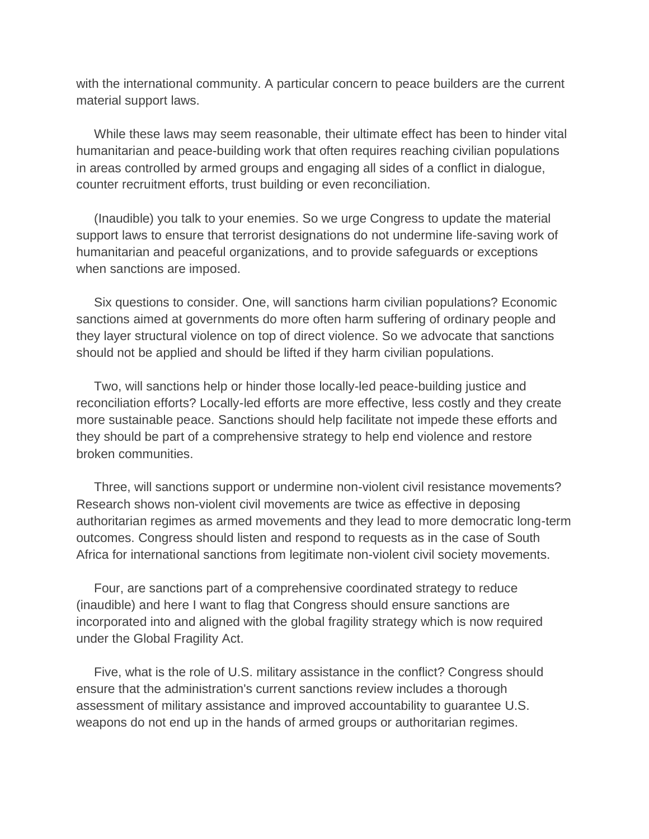with the international community. A particular concern to peace builders are the current material support laws.

 While these laws may seem reasonable, their ultimate effect has been to hinder vital humanitarian and peace-building work that often requires reaching civilian populations in areas controlled by armed groups and engaging all sides of a conflict in dialogue, counter recruitment efforts, trust building or even reconciliation.

 (Inaudible) you talk to your enemies. So we urge Congress to update the material support laws to ensure that terrorist designations do not undermine life-saving work of humanitarian and peaceful organizations, and to provide safeguards or exceptions when sanctions are imposed.

 Six questions to consider. One, will sanctions harm civilian populations? Economic sanctions aimed at governments do more often harm suffering of ordinary people and they layer structural violence on top of direct violence. So we advocate that sanctions should not be applied and should be lifted if they harm civilian populations.

 Two, will sanctions help or hinder those locally-led peace-building justice and reconciliation efforts? Locally-led efforts are more effective, less costly and they create more sustainable peace. Sanctions should help facilitate not impede these efforts and they should be part of a comprehensive strategy to help end violence and restore broken communities.

 Three, will sanctions support or undermine non-violent civil resistance movements? Research shows non-violent civil movements are twice as effective in deposing authoritarian regimes as armed movements and they lead to more democratic long-term outcomes. Congress should listen and respond to requests as in the case of South Africa for international sanctions from legitimate non-violent civil society movements.

 Four, are sanctions part of a comprehensive coordinated strategy to reduce (inaudible) and here I want to flag that Congress should ensure sanctions are incorporated into and aligned with the global fragility strategy which is now required under the Global Fragility Act.

 Five, what is the role of U.S. military assistance in the conflict? Congress should ensure that the administration's current sanctions review includes a thorough assessment of military assistance and improved accountability to guarantee U.S. weapons do not end up in the hands of armed groups or authoritarian regimes.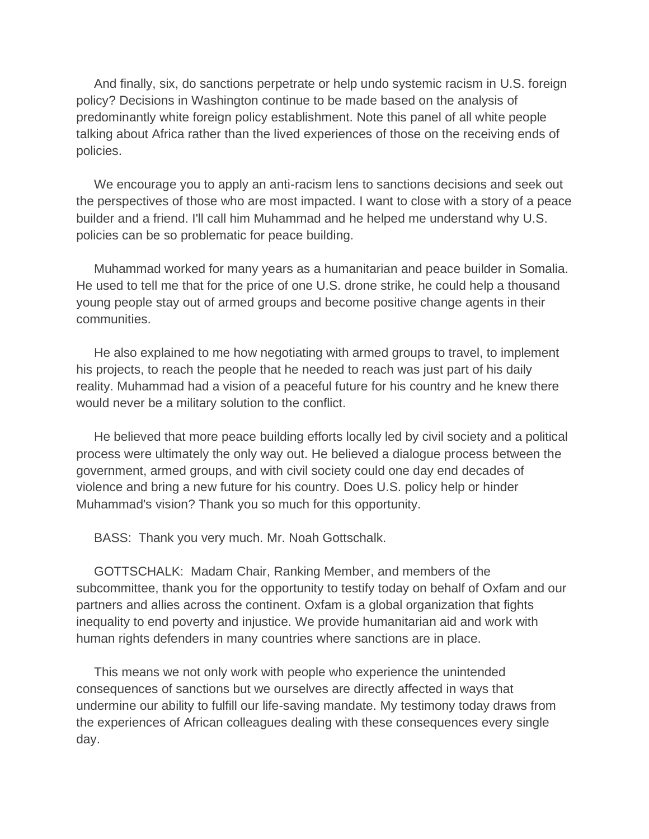And finally, six, do sanctions perpetrate or help undo systemic racism in U.S. foreign policy? Decisions in Washington continue to be made based on the analysis of predominantly white foreign policy establishment. Note this panel of all white people talking about Africa rather than the lived experiences of those on the receiving ends of policies.

 We encourage you to apply an anti-racism lens to sanctions decisions and seek out the perspectives of those who are most impacted. I want to close with a story of a peace builder and a friend. I'll call him Muhammad and he helped me understand why U.S. policies can be so problematic for peace building.

 Muhammad worked for many years as a humanitarian and peace builder in Somalia. He used to tell me that for the price of one U.S. drone strike, he could help a thousand young people stay out of armed groups and become positive change agents in their communities.

 He also explained to me how negotiating with armed groups to travel, to implement his projects, to reach the people that he needed to reach was just part of his daily reality. Muhammad had a vision of a peaceful future for his country and he knew there would never be a military solution to the conflict.

 He believed that more peace building efforts locally led by civil society and a political process were ultimately the only way out. He believed a dialogue process between the government, armed groups, and with civil society could one day end decades of violence and bring a new future for his country. Does U.S. policy help or hinder Muhammad's vision? Thank you so much for this opportunity.

BASS: Thank you very much. Mr. Noah Gottschalk.

 GOTTSCHALK: Madam Chair, Ranking Member, and members of the subcommittee, thank you for the opportunity to testify today on behalf of Oxfam and our partners and allies across the continent. Oxfam is a global organization that fights inequality to end poverty and injustice. We provide humanitarian aid and work with human rights defenders in many countries where sanctions are in place.

 This means we not only work with people who experience the unintended consequences of sanctions but we ourselves are directly affected in ways that undermine our ability to fulfill our life-saving mandate. My testimony today draws from the experiences of African colleagues dealing with these consequences every single day.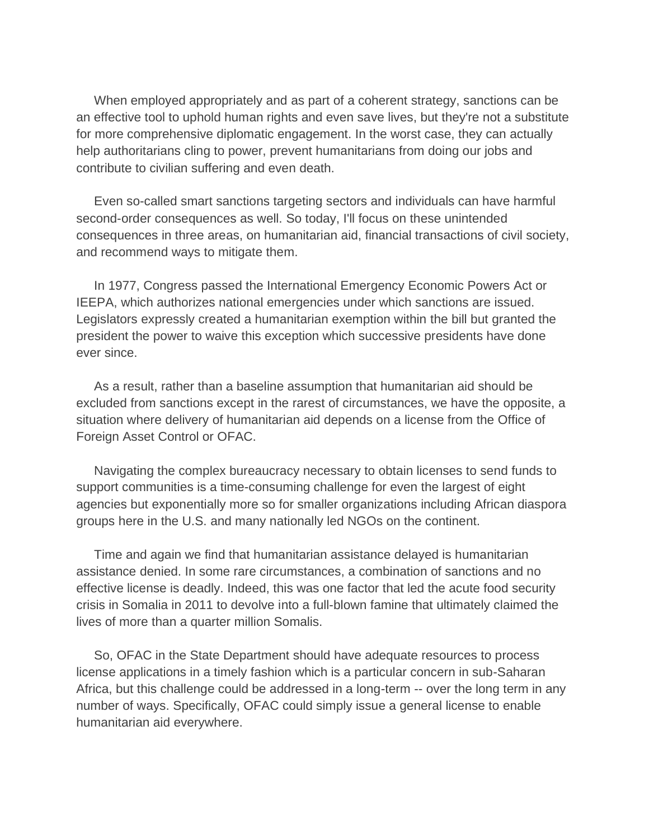When employed appropriately and as part of a coherent strategy, sanctions can be an effective tool to uphold human rights and even save lives, but they're not a substitute for more comprehensive diplomatic engagement. In the worst case, they can actually help authoritarians cling to power, prevent humanitarians from doing our jobs and contribute to civilian suffering and even death.

 Even so-called smart sanctions targeting sectors and individuals can have harmful second-order consequences as well. So today, I'll focus on these unintended consequences in three areas, on humanitarian aid, financial transactions of civil society, and recommend ways to mitigate them.

 In 1977, Congress passed the International Emergency Economic Powers Act or IEEPA, which authorizes national emergencies under which sanctions are issued. Legislators expressly created a humanitarian exemption within the bill but granted the president the power to waive this exception which successive presidents have done ever since.

 As a result, rather than a baseline assumption that humanitarian aid should be excluded from sanctions except in the rarest of circumstances, we have the opposite, a situation where delivery of humanitarian aid depends on a license from the Office of Foreign Asset Control or OFAC.

 Navigating the complex bureaucracy necessary to obtain licenses to send funds to support communities is a time-consuming challenge for even the largest of eight agencies but exponentially more so for smaller organizations including African diaspora groups here in the U.S. and many nationally led NGOs on the continent.

 Time and again we find that humanitarian assistance delayed is humanitarian assistance denied. In some rare circumstances, a combination of sanctions and no effective license is deadly. Indeed, this was one factor that led the acute food security crisis in Somalia in 2011 to devolve into a full-blown famine that ultimately claimed the lives of more than a quarter million Somalis.

 So, OFAC in the State Department should have adequate resources to process license applications in a timely fashion which is a particular concern in sub-Saharan Africa, but this challenge could be addressed in a long-term -- over the long term in any number of ways. Specifically, OFAC could simply issue a general license to enable humanitarian aid everywhere.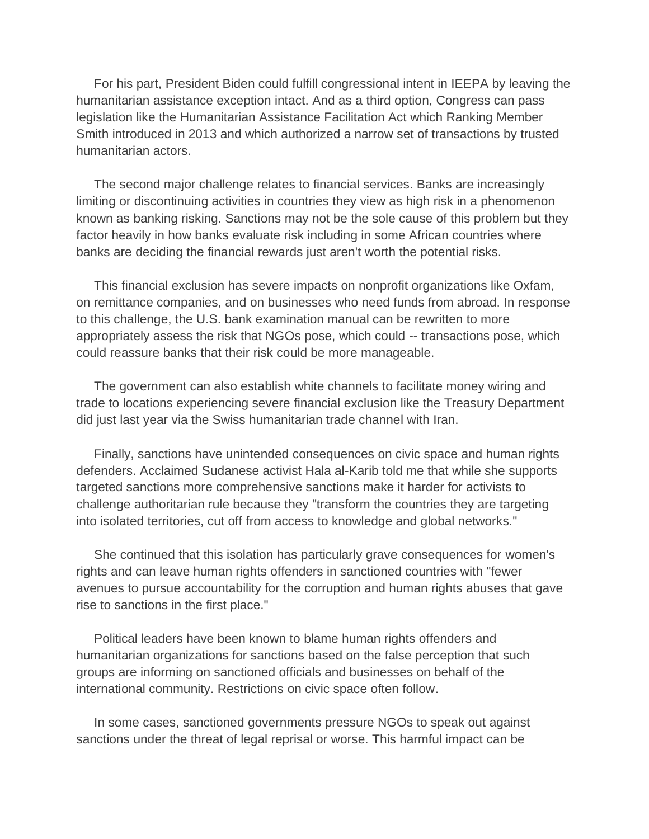For his part, President Biden could fulfill congressional intent in IEEPA by leaving the humanitarian assistance exception intact. And as a third option, Congress can pass legislation like the Humanitarian Assistance Facilitation Act which Ranking Member Smith introduced in 2013 and which authorized a narrow set of transactions by trusted humanitarian actors.

 The second major challenge relates to financial services. Banks are increasingly limiting or discontinuing activities in countries they view as high risk in a phenomenon known as banking risking. Sanctions may not be the sole cause of this problem but they factor heavily in how banks evaluate risk including in some African countries where banks are deciding the financial rewards just aren't worth the potential risks.

 This financial exclusion has severe impacts on nonprofit organizations like Oxfam, on remittance companies, and on businesses who need funds from abroad. In response to this challenge, the U.S. bank examination manual can be rewritten to more appropriately assess the risk that NGOs pose, which could -- transactions pose, which could reassure banks that their risk could be more manageable.

 The government can also establish white channels to facilitate money wiring and trade to locations experiencing severe financial exclusion like the Treasury Department did just last year via the Swiss humanitarian trade channel with Iran.

 Finally, sanctions have unintended consequences on civic space and human rights defenders. Acclaimed Sudanese activist Hala al-Karib told me that while she supports targeted sanctions more comprehensive sanctions make it harder for activists to challenge authoritarian rule because they "transform the countries they are targeting into isolated territories, cut off from access to knowledge and global networks."

 She continued that this isolation has particularly grave consequences for women's rights and can leave human rights offenders in sanctioned countries with "fewer avenues to pursue accountability for the corruption and human rights abuses that gave rise to sanctions in the first place."

 Political leaders have been known to blame human rights offenders and humanitarian organizations for sanctions based on the false perception that such groups are informing on sanctioned officials and businesses on behalf of the international community. Restrictions on civic space often follow.

 In some cases, sanctioned governments pressure NGOs to speak out against sanctions under the threat of legal reprisal or worse. This harmful impact can be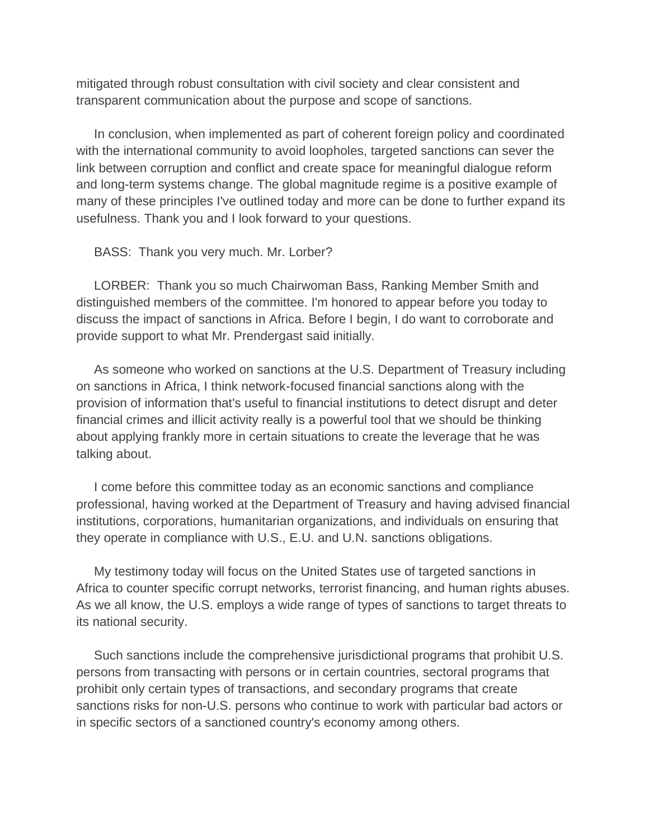mitigated through robust consultation with civil society and clear consistent and transparent communication about the purpose and scope of sanctions.

 In conclusion, when implemented as part of coherent foreign policy and coordinated with the international community to avoid loopholes, targeted sanctions can sever the link between corruption and conflict and create space for meaningful dialogue reform and long-term systems change. The global magnitude regime is a positive example of many of these principles I've outlined today and more can be done to further expand its usefulness. Thank you and I look forward to your questions.

BASS: Thank you very much. Mr. Lorber?

 LORBER: Thank you so much Chairwoman Bass, Ranking Member Smith and distinguished members of the committee. I'm honored to appear before you today to discuss the impact of sanctions in Africa. Before I begin, I do want to corroborate and provide support to what Mr. Prendergast said initially.

 As someone who worked on sanctions at the U.S. Department of Treasury including on sanctions in Africa, I think network-focused financial sanctions along with the provision of information that's useful to financial institutions to detect disrupt and deter financial crimes and illicit activity really is a powerful tool that we should be thinking about applying frankly more in certain situations to create the leverage that he was talking about.

 I come before this committee today as an economic sanctions and compliance professional, having worked at the Department of Treasury and having advised financial institutions, corporations, humanitarian organizations, and individuals on ensuring that they operate in compliance with U.S., E.U. and U.N. sanctions obligations.

 My testimony today will focus on the United States use of targeted sanctions in Africa to counter specific corrupt networks, terrorist financing, and human rights abuses. As we all know, the U.S. employs a wide range of types of sanctions to target threats to its national security.

 Such sanctions include the comprehensive jurisdictional programs that prohibit U.S. persons from transacting with persons or in certain countries, sectoral programs that prohibit only certain types of transactions, and secondary programs that create sanctions risks for non-U.S. persons who continue to work with particular bad actors or in specific sectors of a sanctioned country's economy among others.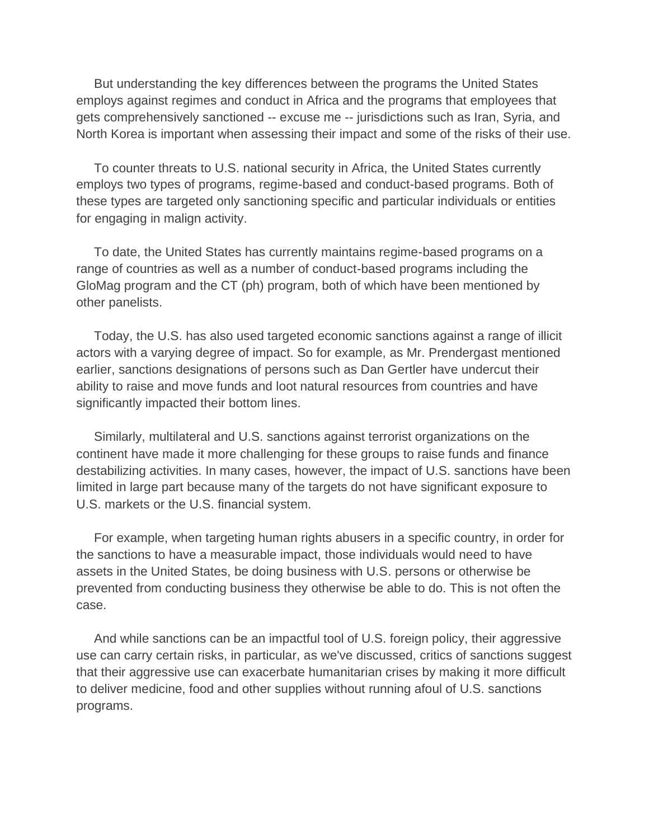But understanding the key differences between the programs the United States employs against regimes and conduct in Africa and the programs that employees that gets comprehensively sanctioned -- excuse me -- jurisdictions such as Iran, Syria, and North Korea is important when assessing their impact and some of the risks of their use.

 To counter threats to U.S. national security in Africa, the United States currently employs two types of programs, regime-based and conduct-based programs. Both of these types are targeted only sanctioning specific and particular individuals or entities for engaging in malign activity.

 To date, the United States has currently maintains regime-based programs on a range of countries as well as a number of conduct-based programs including the GloMag program and the CT (ph) program, both of which have been mentioned by other panelists.

 Today, the U.S. has also used targeted economic sanctions against a range of illicit actors with a varying degree of impact. So for example, as Mr. Prendergast mentioned earlier, sanctions designations of persons such as Dan Gertler have undercut their ability to raise and move funds and loot natural resources from countries and have significantly impacted their bottom lines.

 Similarly, multilateral and U.S. sanctions against terrorist organizations on the continent have made it more challenging for these groups to raise funds and finance destabilizing activities. In many cases, however, the impact of U.S. sanctions have been limited in large part because many of the targets do not have significant exposure to U.S. markets or the U.S. financial system.

 For example, when targeting human rights abusers in a specific country, in order for the sanctions to have a measurable impact, those individuals would need to have assets in the United States, be doing business with U.S. persons or otherwise be prevented from conducting business they otherwise be able to do. This is not often the case.

 And while sanctions can be an impactful tool of U.S. foreign policy, their aggressive use can carry certain risks, in particular, as we've discussed, critics of sanctions suggest that their aggressive use can exacerbate humanitarian crises by making it more difficult to deliver medicine, food and other supplies without running afoul of U.S. sanctions programs.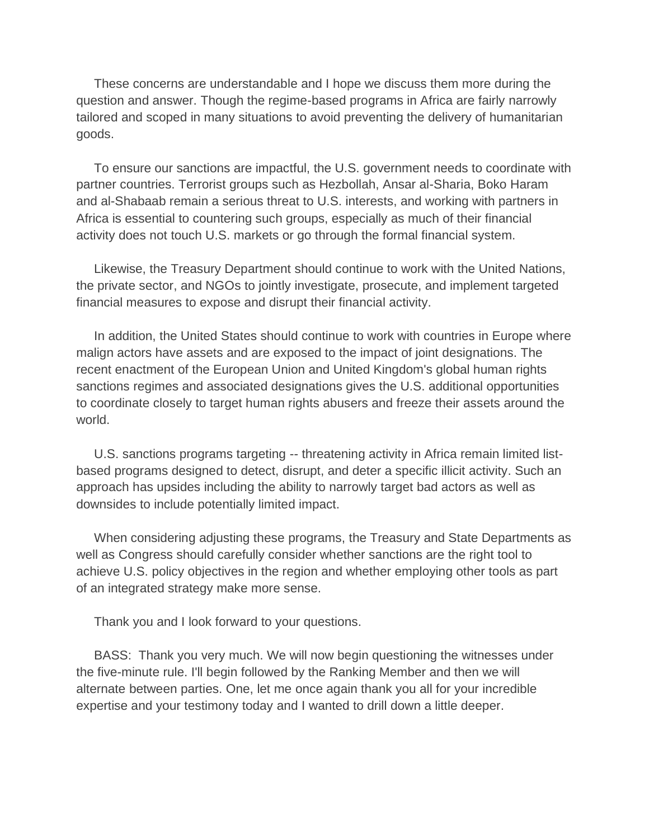These concerns are understandable and I hope we discuss them more during the question and answer. Though the regime-based programs in Africa are fairly narrowly tailored and scoped in many situations to avoid preventing the delivery of humanitarian goods.

 To ensure our sanctions are impactful, the U.S. government needs to coordinate with partner countries. Terrorist groups such as Hezbollah, Ansar al-Sharia, Boko Haram and al-Shabaab remain a serious threat to U.S. interests, and working with partners in Africa is essential to countering such groups, especially as much of their financial activity does not touch U.S. markets or go through the formal financial system.

 Likewise, the Treasury Department should continue to work with the United Nations, the private sector, and NGOs to jointly investigate, prosecute, and implement targeted financial measures to expose and disrupt their financial activity.

 In addition, the United States should continue to work with countries in Europe where malign actors have assets and are exposed to the impact of joint designations. The recent enactment of the European Union and United Kingdom's global human rights sanctions regimes and associated designations gives the U.S. additional opportunities to coordinate closely to target human rights abusers and freeze their assets around the world.

 U.S. sanctions programs targeting -- threatening activity in Africa remain limited listbased programs designed to detect, disrupt, and deter a specific illicit activity. Such an approach has upsides including the ability to narrowly target bad actors as well as downsides to include potentially limited impact.

 When considering adjusting these programs, the Treasury and State Departments as well as Congress should carefully consider whether sanctions are the right tool to achieve U.S. policy objectives in the region and whether employing other tools as part of an integrated strategy make more sense.

Thank you and I look forward to your questions.

 BASS: Thank you very much. We will now begin questioning the witnesses under the five-minute rule. I'll begin followed by the Ranking Member and then we will alternate between parties. One, let me once again thank you all for your incredible expertise and your testimony today and I wanted to drill down a little deeper.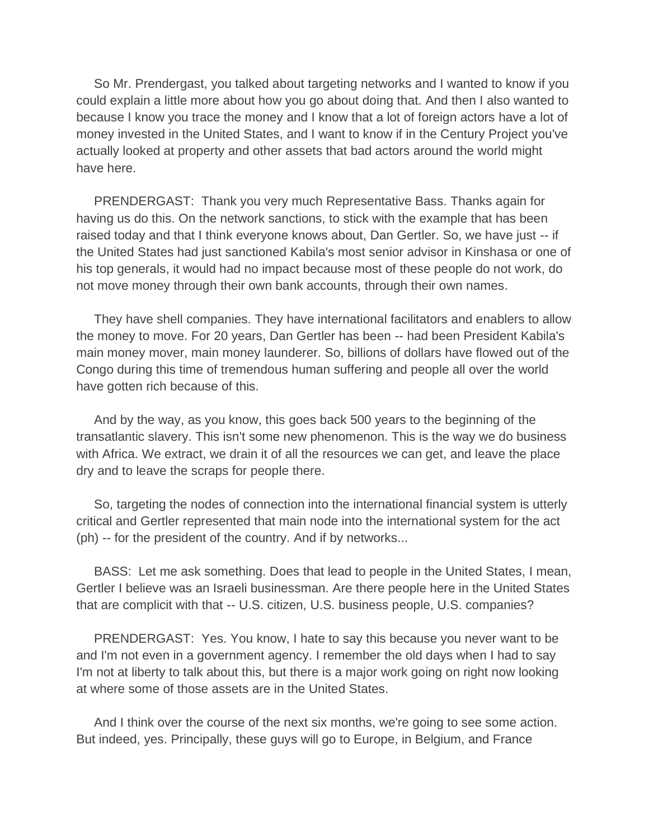So Mr. Prendergast, you talked about targeting networks and I wanted to know if you could explain a little more about how you go about doing that. And then I also wanted to because I know you trace the money and I know that a lot of foreign actors have a lot of money invested in the United States, and I want to know if in the Century Project you've actually looked at property and other assets that bad actors around the world might have here.

 PRENDERGAST: Thank you very much Representative Bass. Thanks again for having us do this. On the network sanctions, to stick with the example that has been raised today and that I think everyone knows about, Dan Gertler. So, we have just -- if the United States had just sanctioned Kabila's most senior advisor in Kinshasa or one of his top generals, it would had no impact because most of these people do not work, do not move money through their own bank accounts, through their own names.

 They have shell companies. They have international facilitators and enablers to allow the money to move. For 20 years, Dan Gertler has been -- had been President Kabila's main money mover, main money launderer. So, billions of dollars have flowed out of the Congo during this time of tremendous human suffering and people all over the world have gotten rich because of this.

 And by the way, as you know, this goes back 500 years to the beginning of the transatlantic slavery. This isn't some new phenomenon. This is the way we do business with Africa. We extract, we drain it of all the resources we can get, and leave the place dry and to leave the scraps for people there.

 So, targeting the nodes of connection into the international financial system is utterly critical and Gertler represented that main node into the international system for the act (ph) -- for the president of the country. And if by networks...

 BASS: Let me ask something. Does that lead to people in the United States, I mean, Gertler I believe was an Israeli businessman. Are there people here in the United States that are complicit with that -- U.S. citizen, U.S. business people, U.S. companies?

 PRENDERGAST: Yes. You know, I hate to say this because you never want to be and I'm not even in a government agency. I remember the old days when I had to say I'm not at liberty to talk about this, but there is a major work going on right now looking at where some of those assets are in the United States.

 And I think over the course of the next six months, we're going to see some action. But indeed, yes. Principally, these guys will go to Europe, in Belgium, and France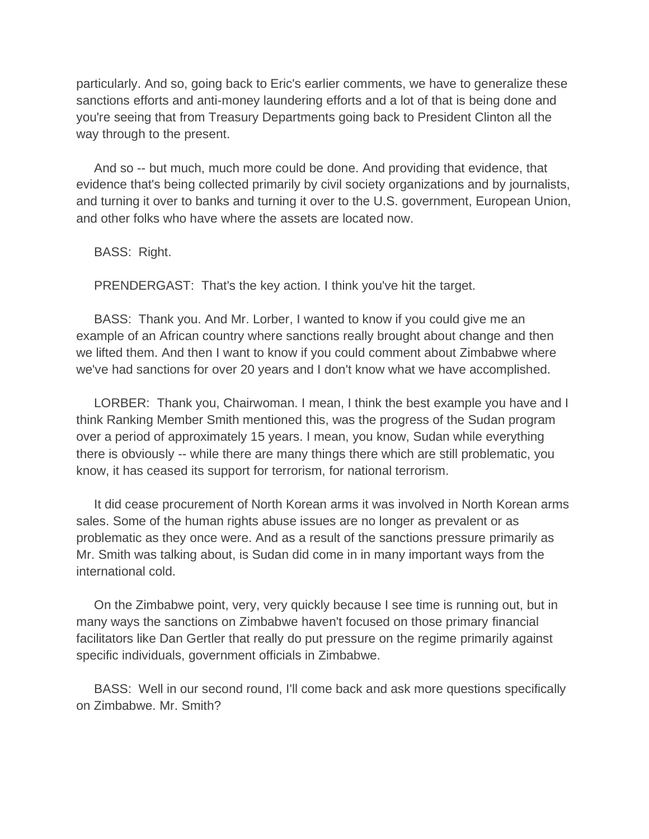particularly. And so, going back to Eric's earlier comments, we have to generalize these sanctions efforts and anti-money laundering efforts and a lot of that is being done and you're seeing that from Treasury Departments going back to President Clinton all the way through to the present.

 And so -- but much, much more could be done. And providing that evidence, that evidence that's being collected primarily by civil society organizations and by journalists, and turning it over to banks and turning it over to the U.S. government, European Union, and other folks who have where the assets are located now.

BASS: Right.

PRENDERGAST: That's the key action. I think you've hit the target.

 BASS: Thank you. And Mr. Lorber, I wanted to know if you could give me an example of an African country where sanctions really brought about change and then we lifted them. And then I want to know if you could comment about Zimbabwe where we've had sanctions for over 20 years and I don't know what we have accomplished.

 LORBER: Thank you, Chairwoman. I mean, I think the best example you have and I think Ranking Member Smith mentioned this, was the progress of the Sudan program over a period of approximately 15 years. I mean, you know, Sudan while everything there is obviously -- while there are many things there which are still problematic, you know, it has ceased its support for terrorism, for national terrorism.

 It did cease procurement of North Korean arms it was involved in North Korean arms sales. Some of the human rights abuse issues are no longer as prevalent or as problematic as they once were. And as a result of the sanctions pressure primarily as Mr. Smith was talking about, is Sudan did come in in many important ways from the international cold.

 On the Zimbabwe point, very, very quickly because I see time is running out, but in many ways the sanctions on Zimbabwe haven't focused on those primary financial facilitators like Dan Gertler that really do put pressure on the regime primarily against specific individuals, government officials in Zimbabwe.

 BASS: Well in our second round, I'll come back and ask more questions specifically on Zimbabwe. Mr. Smith?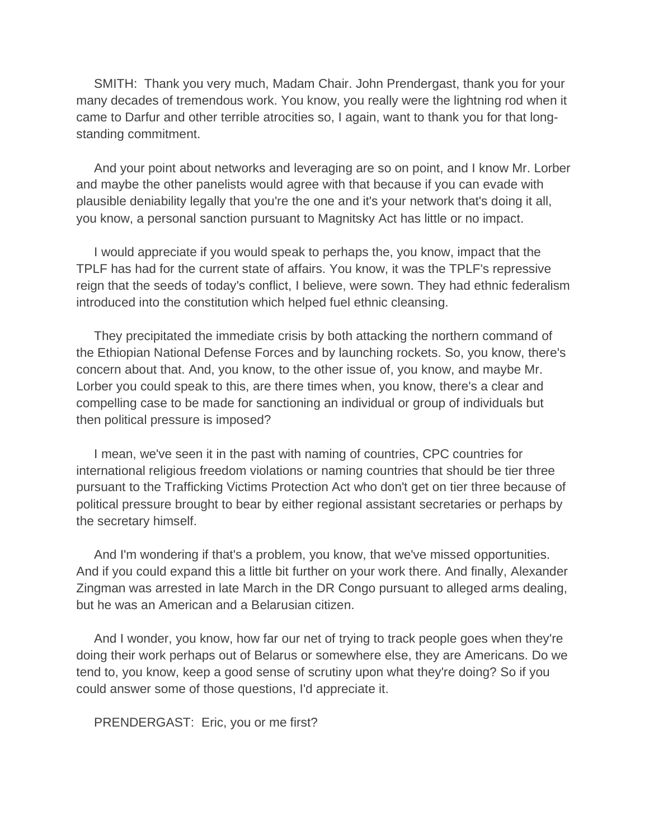SMITH: Thank you very much, Madam Chair. John Prendergast, thank you for your many decades of tremendous work. You know, you really were the lightning rod when it came to Darfur and other terrible atrocities so, I again, want to thank you for that longstanding commitment.

 And your point about networks and leveraging are so on point, and I know Mr. Lorber and maybe the other panelists would agree with that because if you can evade with plausible deniability legally that you're the one and it's your network that's doing it all, you know, a personal sanction pursuant to Magnitsky Act has little or no impact.

 I would appreciate if you would speak to perhaps the, you know, impact that the TPLF has had for the current state of affairs. You know, it was the TPLF's repressive reign that the seeds of today's conflict, I believe, were sown. They had ethnic federalism introduced into the constitution which helped fuel ethnic cleansing.

 They precipitated the immediate crisis by both attacking the northern command of the Ethiopian National Defense Forces and by launching rockets. So, you know, there's concern about that. And, you know, to the other issue of, you know, and maybe Mr. Lorber you could speak to this, are there times when, you know, there's a clear and compelling case to be made for sanctioning an individual or group of individuals but then political pressure is imposed?

 I mean, we've seen it in the past with naming of countries, CPC countries for international religious freedom violations or naming countries that should be tier three pursuant to the Trafficking Victims Protection Act who don't get on tier three because of political pressure brought to bear by either regional assistant secretaries or perhaps by the secretary himself.

 And I'm wondering if that's a problem, you know, that we've missed opportunities. And if you could expand this a little bit further on your work there. And finally, Alexander Zingman was arrested in late March in the DR Congo pursuant to alleged arms dealing, but he was an American and a Belarusian citizen.

 And I wonder, you know, how far our net of trying to track people goes when they're doing their work perhaps out of Belarus or somewhere else, they are Americans. Do we tend to, you know, keep a good sense of scrutiny upon what they're doing? So if you could answer some of those questions, I'd appreciate it.

PRENDERGAST: Eric, you or me first?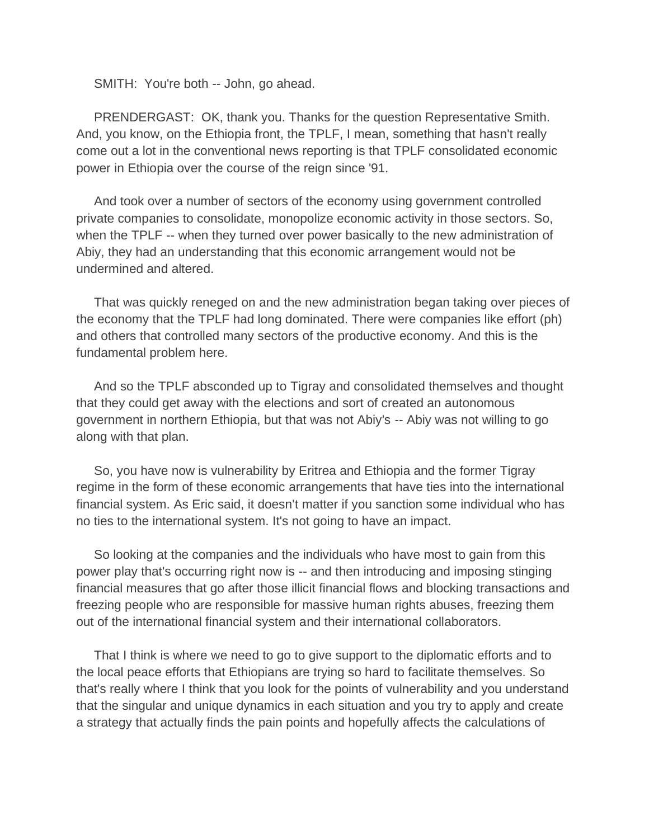SMITH: You're both -- John, go ahead.

 PRENDERGAST: OK, thank you. Thanks for the question Representative Smith. And, you know, on the Ethiopia front, the TPLF, I mean, something that hasn't really come out a lot in the conventional news reporting is that TPLF consolidated economic power in Ethiopia over the course of the reign since '91.

 And took over a number of sectors of the economy using government controlled private companies to consolidate, monopolize economic activity in those sectors. So, when the TPLF -- when they turned over power basically to the new administration of Abiy, they had an understanding that this economic arrangement would not be undermined and altered.

 That was quickly reneged on and the new administration began taking over pieces of the economy that the TPLF had long dominated. There were companies like effort (ph) and others that controlled many sectors of the productive economy. And this is the fundamental problem here.

 And so the TPLF absconded up to Tigray and consolidated themselves and thought that they could get away with the elections and sort of created an autonomous government in northern Ethiopia, but that was not Abiy's -- Abiy was not willing to go along with that plan.

 So, you have now is vulnerability by Eritrea and Ethiopia and the former Tigray regime in the form of these economic arrangements that have ties into the international financial system. As Eric said, it doesn't matter if you sanction some individual who has no ties to the international system. It's not going to have an impact.

 So looking at the companies and the individuals who have most to gain from this power play that's occurring right now is -- and then introducing and imposing stinging financial measures that go after those illicit financial flows and blocking transactions and freezing people who are responsible for massive human rights abuses, freezing them out of the international financial system and their international collaborators.

 That I think is where we need to go to give support to the diplomatic efforts and to the local peace efforts that Ethiopians are trying so hard to facilitate themselves. So that's really where I think that you look for the points of vulnerability and you understand that the singular and unique dynamics in each situation and you try to apply and create a strategy that actually finds the pain points and hopefully affects the calculations of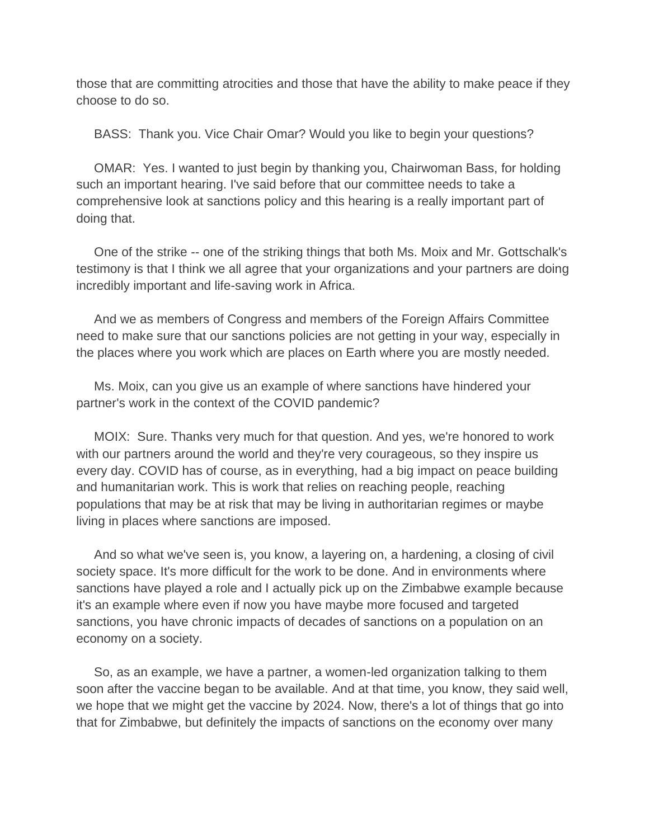those that are committing atrocities and those that have the ability to make peace if they choose to do so.

BASS: Thank you. Vice Chair Omar? Would you like to begin your questions?

 OMAR: Yes. I wanted to just begin by thanking you, Chairwoman Bass, for holding such an important hearing. I've said before that our committee needs to take a comprehensive look at sanctions policy and this hearing is a really important part of doing that.

 One of the strike -- one of the striking things that both Ms. Moix and Mr. Gottschalk's testimony is that I think we all agree that your organizations and your partners are doing incredibly important and life-saving work in Africa.

 And we as members of Congress and members of the Foreign Affairs Committee need to make sure that our sanctions policies are not getting in your way, especially in the places where you work which are places on Earth where you are mostly needed.

 Ms. Moix, can you give us an example of where sanctions have hindered your partner's work in the context of the COVID pandemic?

 MOIX: Sure. Thanks very much for that question. And yes, we're honored to work with our partners around the world and they're very courageous, so they inspire us every day. COVID has of course, as in everything, had a big impact on peace building and humanitarian work. This is work that relies on reaching people, reaching populations that may be at risk that may be living in authoritarian regimes or maybe living in places where sanctions are imposed.

 And so what we've seen is, you know, a layering on, a hardening, a closing of civil society space. It's more difficult for the work to be done. And in environments where sanctions have played a role and I actually pick up on the Zimbabwe example because it's an example where even if now you have maybe more focused and targeted sanctions, you have chronic impacts of decades of sanctions on a population on an economy on a society.

 So, as an example, we have a partner, a women-led organization talking to them soon after the vaccine began to be available. And at that time, you know, they said well, we hope that we might get the vaccine by 2024. Now, there's a lot of things that go into that for Zimbabwe, but definitely the impacts of sanctions on the economy over many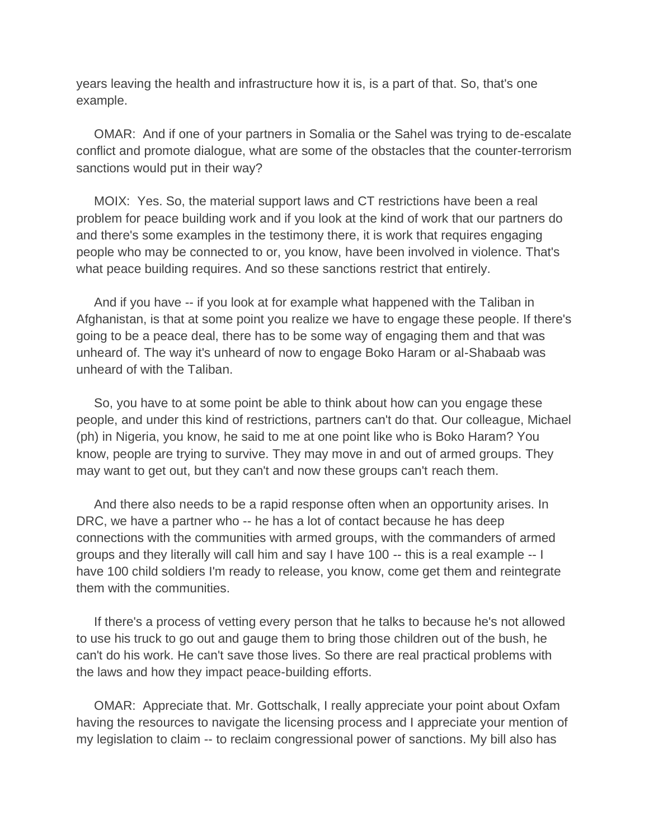years leaving the health and infrastructure how it is, is a part of that. So, that's one example.

 OMAR: And if one of your partners in Somalia or the Sahel was trying to de-escalate conflict and promote dialogue, what are some of the obstacles that the counter-terrorism sanctions would put in their way?

 MOIX: Yes. So, the material support laws and CT restrictions have been a real problem for peace building work and if you look at the kind of work that our partners do and there's some examples in the testimony there, it is work that requires engaging people who may be connected to or, you know, have been involved in violence. That's what peace building requires. And so these sanctions restrict that entirely.

 And if you have -- if you look at for example what happened with the Taliban in Afghanistan, is that at some point you realize we have to engage these people. If there's going to be a peace deal, there has to be some way of engaging them and that was unheard of. The way it's unheard of now to engage Boko Haram or al-Shabaab was unheard of with the Taliban.

 So, you have to at some point be able to think about how can you engage these people, and under this kind of restrictions, partners can't do that. Our colleague, Michael (ph) in Nigeria, you know, he said to me at one point like who is Boko Haram? You know, people are trying to survive. They may move in and out of armed groups. They may want to get out, but they can't and now these groups can't reach them.

 And there also needs to be a rapid response often when an opportunity arises. In DRC, we have a partner who -- he has a lot of contact because he has deep connections with the communities with armed groups, with the commanders of armed groups and they literally will call him and say I have 100 -- this is a real example -- I have 100 child soldiers I'm ready to release, you know, come get them and reintegrate them with the communities.

 If there's a process of vetting every person that he talks to because he's not allowed to use his truck to go out and gauge them to bring those children out of the bush, he can't do his work. He can't save those lives. So there are real practical problems with the laws and how they impact peace-building efforts.

 OMAR: Appreciate that. Mr. Gottschalk, I really appreciate your point about Oxfam having the resources to navigate the licensing process and I appreciate your mention of my legislation to claim -- to reclaim congressional power of sanctions. My bill also has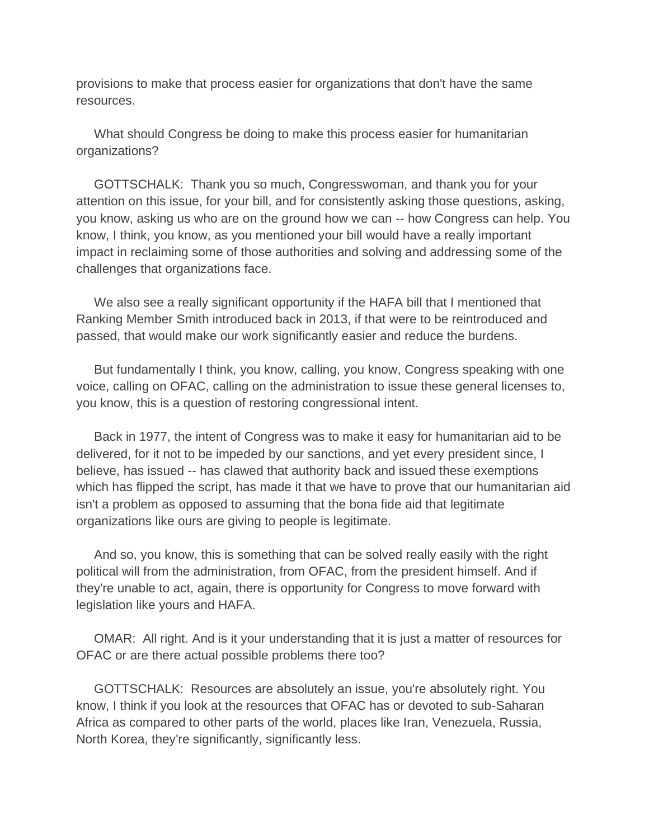provisions to make that process easier for organizations that don't have the same resources.

 What should Congress be doing to make this process easier for humanitarian organizations?

 GOTTSCHALK: Thank you so much, Congresswoman, and thank you for your attention on this issue, for your bill, and for consistently asking those questions, asking, you know, asking us who are on the ground how we can -- how Congress can help. You know, I think, you know, as you mentioned your bill would have a really important impact in reclaiming some of those authorities and solving and addressing some of the challenges that organizations face.

We also see a really significant opportunity if the HAFA bill that I mentioned that Ranking Member Smith introduced back in 2013, if that were to be reintroduced and passed, that would make our work significantly easier and reduce the burdens.

 But fundamentally I think, you know, calling, you know, Congress speaking with one voice, calling on OFAC, calling on the administration to issue these general licenses to, you know, this is a question of restoring congressional intent.

 Back in 1977, the intent of Congress was to make it easy for humanitarian aid to be delivered, for it not to be impeded by our sanctions, and yet every president since, I believe, has issued -- has clawed that authority back and issued these exemptions which has flipped the script, has made it that we have to prove that our humanitarian aid isn't a problem as opposed to assuming that the bona fide aid that legitimate organizations like ours are giving to people is legitimate.

 And so, you know, this is something that can be solved really easily with the right political will from the administration, from OFAC, from the president himself. And if they're unable to act, again, there is opportunity for Congress to move forward with legislation like yours and HAFA.

 OMAR: All right. And is it your understanding that it is just a matter of resources for OFAC or are there actual possible problems there too?

 GOTTSCHALK: Resources are absolutely an issue, you're absolutely right. You know, I think if you look at the resources that OFAC has or devoted to sub-Saharan Africa as compared to other parts of the world, places like Iran, Venezuela, Russia, North Korea, they're significantly, significantly less.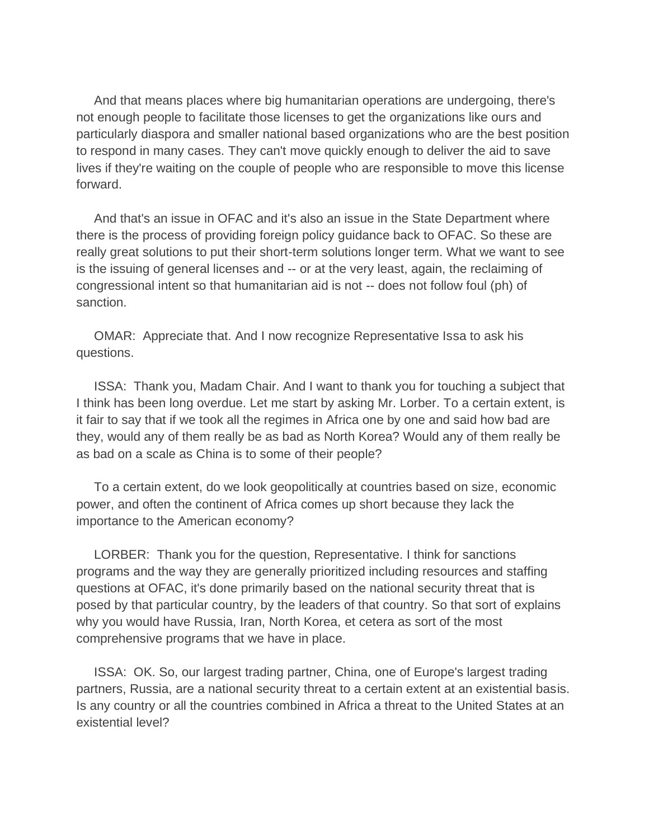And that means places where big humanitarian operations are undergoing, there's not enough people to facilitate those licenses to get the organizations like ours and particularly diaspora and smaller national based organizations who are the best position to respond in many cases. They can't move quickly enough to deliver the aid to save lives if they're waiting on the couple of people who are responsible to move this license forward.

 And that's an issue in OFAC and it's also an issue in the State Department where there is the process of providing foreign policy guidance back to OFAC. So these are really great solutions to put their short-term solutions longer term. What we want to see is the issuing of general licenses and -- or at the very least, again, the reclaiming of congressional intent so that humanitarian aid is not -- does not follow foul (ph) of sanction.

 OMAR: Appreciate that. And I now recognize Representative Issa to ask his questions.

 ISSA: Thank you, Madam Chair. And I want to thank you for touching a subject that I think has been long overdue. Let me start by asking Mr. Lorber. To a certain extent, is it fair to say that if we took all the regimes in Africa one by one and said how bad are they, would any of them really be as bad as North Korea? Would any of them really be as bad on a scale as China is to some of their people?

 To a certain extent, do we look geopolitically at countries based on size, economic power, and often the continent of Africa comes up short because they lack the importance to the American economy?

 LORBER: Thank you for the question, Representative. I think for sanctions programs and the way they are generally prioritized including resources and staffing questions at OFAC, it's done primarily based on the national security threat that is posed by that particular country, by the leaders of that country. So that sort of explains why you would have Russia, Iran, North Korea, et cetera as sort of the most comprehensive programs that we have in place.

 ISSA: OK. So, our largest trading partner, China, one of Europe's largest trading partners, Russia, are a national security threat to a certain extent at an existential basis. Is any country or all the countries combined in Africa a threat to the United States at an existential level?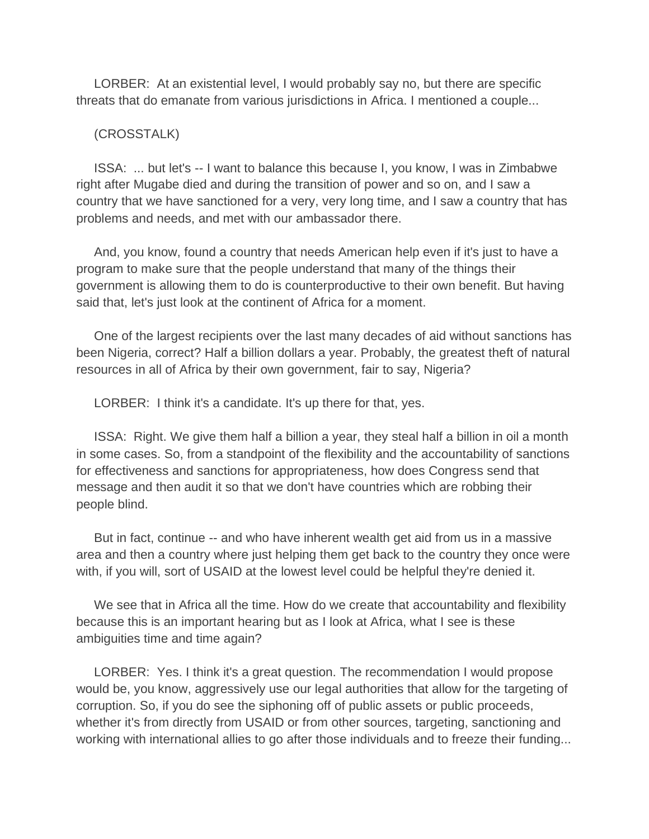LORBER: At an existential level, I would probably say no, but there are specific threats that do emanate from various jurisdictions in Africa. I mentioned a couple...

## (CROSSTALK)

 ISSA: ... but let's -- I want to balance this because I, you know, I was in Zimbabwe right after Mugabe died and during the transition of power and so on, and I saw a country that we have sanctioned for a very, very long time, and I saw a country that has problems and needs, and met with our ambassador there.

 And, you know, found a country that needs American help even if it's just to have a program to make sure that the people understand that many of the things their government is allowing them to do is counterproductive to their own benefit. But having said that, let's just look at the continent of Africa for a moment.

 One of the largest recipients over the last many decades of aid without sanctions has been Nigeria, correct? Half a billion dollars a year. Probably, the greatest theft of natural resources in all of Africa by their own government, fair to say, Nigeria?

LORBER: I think it's a candidate. It's up there for that, yes.

 ISSA: Right. We give them half a billion a year, they steal half a billion in oil a month in some cases. So, from a standpoint of the flexibility and the accountability of sanctions for effectiveness and sanctions for appropriateness, how does Congress send that message and then audit it so that we don't have countries which are robbing their people blind.

 But in fact, continue -- and who have inherent wealth get aid from us in a massive area and then a country where just helping them get back to the country they once were with, if you will, sort of USAID at the lowest level could be helpful they're denied it.

 We see that in Africa all the time. How do we create that accountability and flexibility because this is an important hearing but as I look at Africa, what I see is these ambiguities time and time again?

 LORBER: Yes. I think it's a great question. The recommendation I would propose would be, you know, aggressively use our legal authorities that allow for the targeting of corruption. So, if you do see the siphoning off of public assets or public proceeds, whether it's from directly from USAID or from other sources, targeting, sanctioning and working with international allies to go after those individuals and to freeze their funding...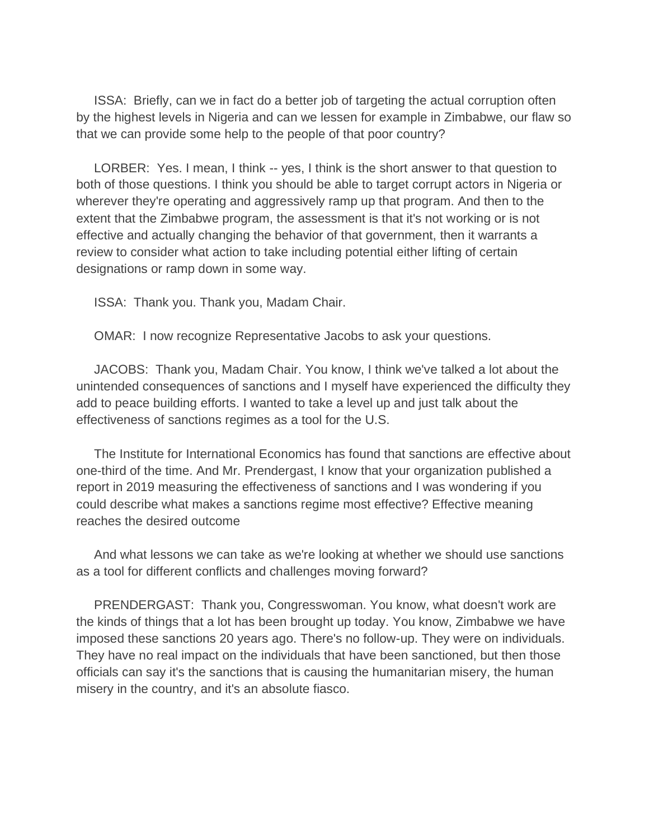ISSA: Briefly, can we in fact do a better job of targeting the actual corruption often by the highest levels in Nigeria and can we lessen for example in Zimbabwe, our flaw so that we can provide some help to the people of that poor country?

 LORBER: Yes. I mean, I think -- yes, I think is the short answer to that question to both of those questions. I think you should be able to target corrupt actors in Nigeria or wherever they're operating and aggressively ramp up that program. And then to the extent that the Zimbabwe program, the assessment is that it's not working or is not effective and actually changing the behavior of that government, then it warrants a review to consider what action to take including potential either lifting of certain designations or ramp down in some way.

ISSA: Thank you. Thank you, Madam Chair.

OMAR: I now recognize Representative Jacobs to ask your questions.

 JACOBS: Thank you, Madam Chair. You know, I think we've talked a lot about the unintended consequences of sanctions and I myself have experienced the difficulty they add to peace building efforts. I wanted to take a level up and just talk about the effectiveness of sanctions regimes as a tool for the U.S.

 The Institute for International Economics has found that sanctions are effective about one-third of the time. And Mr. Prendergast, I know that your organization published a report in 2019 measuring the effectiveness of sanctions and I was wondering if you could describe what makes a sanctions regime most effective? Effective meaning reaches the desired outcome

 And what lessons we can take as we're looking at whether we should use sanctions as a tool for different conflicts and challenges moving forward?

 PRENDERGAST: Thank you, Congresswoman. You know, what doesn't work are the kinds of things that a lot has been brought up today. You know, Zimbabwe we have imposed these sanctions 20 years ago. There's no follow-up. They were on individuals. They have no real impact on the individuals that have been sanctioned, but then those officials can say it's the sanctions that is causing the humanitarian misery, the human misery in the country, and it's an absolute fiasco.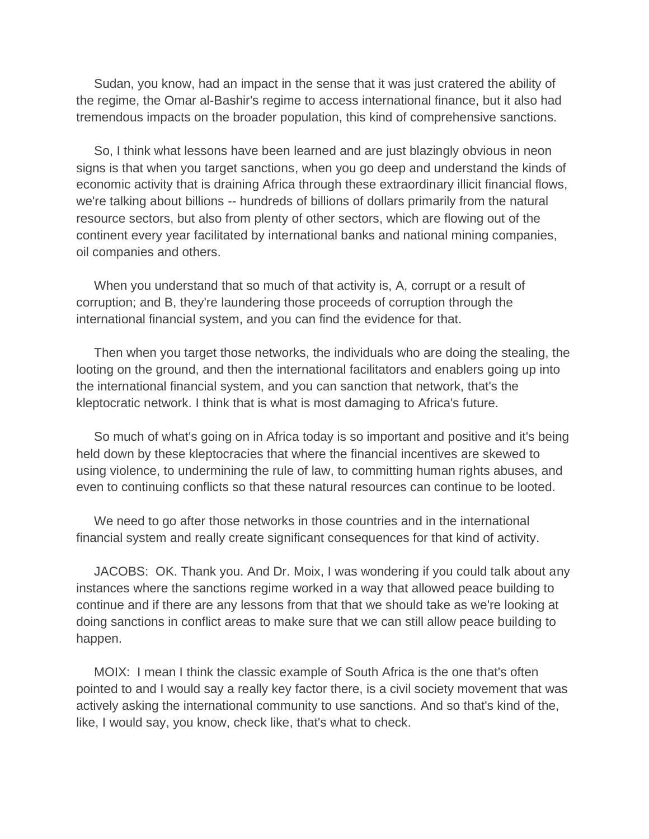Sudan, you know, had an impact in the sense that it was just cratered the ability of the regime, the Omar al-Bashir's regime to access international finance, but it also had tremendous impacts on the broader population, this kind of comprehensive sanctions.

 So, I think what lessons have been learned and are just blazingly obvious in neon signs is that when you target sanctions, when you go deep and understand the kinds of economic activity that is draining Africa through these extraordinary illicit financial flows, we're talking about billions -- hundreds of billions of dollars primarily from the natural resource sectors, but also from plenty of other sectors, which are flowing out of the continent every year facilitated by international banks and national mining companies, oil companies and others.

 When you understand that so much of that activity is, A, corrupt or a result of corruption; and B, they're laundering those proceeds of corruption through the international financial system, and you can find the evidence for that.

 Then when you target those networks, the individuals who are doing the stealing, the looting on the ground, and then the international facilitators and enablers going up into the international financial system, and you can sanction that network, that's the kleptocratic network. I think that is what is most damaging to Africa's future.

 So much of what's going on in Africa today is so important and positive and it's being held down by these kleptocracies that where the financial incentives are skewed to using violence, to undermining the rule of law, to committing human rights abuses, and even to continuing conflicts so that these natural resources can continue to be looted.

 We need to go after those networks in those countries and in the international financial system and really create significant consequences for that kind of activity.

 JACOBS: OK. Thank you. And Dr. Moix, I was wondering if you could talk about any instances where the sanctions regime worked in a way that allowed peace building to continue and if there are any lessons from that that we should take as we're looking at doing sanctions in conflict areas to make sure that we can still allow peace building to happen.

 MOIX: I mean I think the classic example of South Africa is the one that's often pointed to and I would say a really key factor there, is a civil society movement that was actively asking the international community to use sanctions. And so that's kind of the, like, I would say, you know, check like, that's what to check.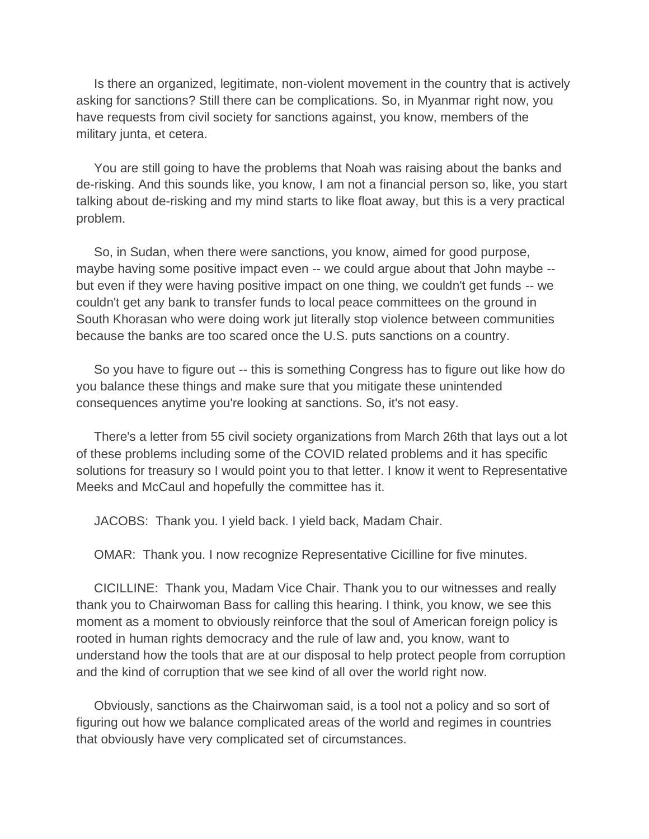Is there an organized, legitimate, non-violent movement in the country that is actively asking for sanctions? Still there can be complications. So, in Myanmar right now, you have requests from civil society for sanctions against, you know, members of the military junta, et cetera.

 You are still going to have the problems that Noah was raising about the banks and de-risking. And this sounds like, you know, I am not a financial person so, like, you start talking about de-risking and my mind starts to like float away, but this is a very practical problem.

 So, in Sudan, when there were sanctions, you know, aimed for good purpose, maybe having some positive impact even -- we could argue about that John maybe - but even if they were having positive impact on one thing, we couldn't get funds -- we couldn't get any bank to transfer funds to local peace committees on the ground in South Khorasan who were doing work jut literally stop violence between communities because the banks are too scared once the U.S. puts sanctions on a country.

 So you have to figure out -- this is something Congress has to figure out like how do you balance these things and make sure that you mitigate these unintended consequences anytime you're looking at sanctions. So, it's not easy.

 There's a letter from 55 civil society organizations from March 26th that lays out a lot of these problems including some of the COVID related problems and it has specific solutions for treasury so I would point you to that letter. I know it went to Representative Meeks and McCaul and hopefully the committee has it.

JACOBS: Thank you. I yield back. I yield back, Madam Chair.

OMAR: Thank you. I now recognize Representative Cicilline for five minutes.

 CICILLINE: Thank you, Madam Vice Chair. Thank you to our witnesses and really thank you to Chairwoman Bass for calling this hearing. I think, you know, we see this moment as a moment to obviously reinforce that the soul of American foreign policy is rooted in human rights democracy and the rule of law and, you know, want to understand how the tools that are at our disposal to help protect people from corruption and the kind of corruption that we see kind of all over the world right now.

 Obviously, sanctions as the Chairwoman said, is a tool not a policy and so sort of figuring out how we balance complicated areas of the world and regimes in countries that obviously have very complicated set of circumstances.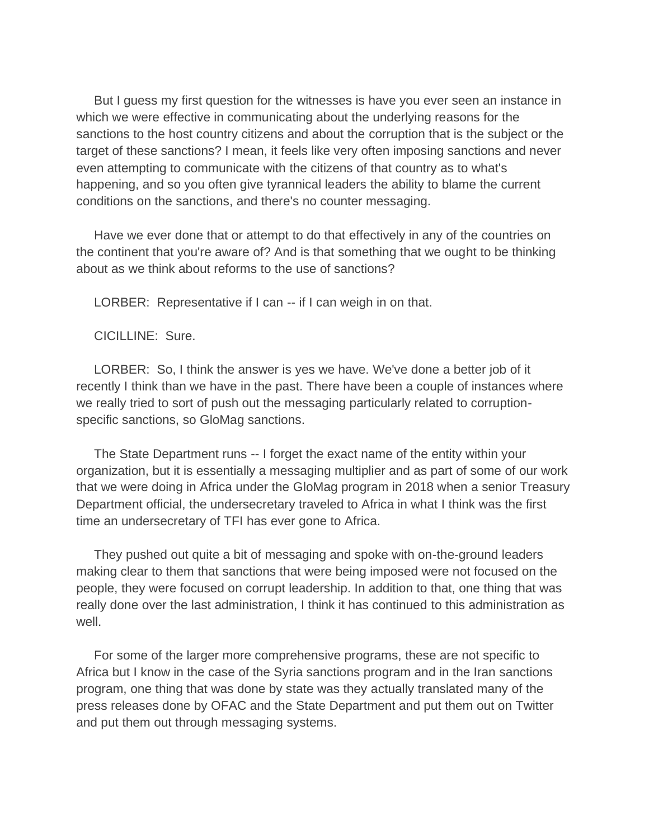But I guess my first question for the witnesses is have you ever seen an instance in which we were effective in communicating about the underlying reasons for the sanctions to the host country citizens and about the corruption that is the subject or the target of these sanctions? I mean, it feels like very often imposing sanctions and never even attempting to communicate with the citizens of that country as to what's happening, and so you often give tyrannical leaders the ability to blame the current conditions on the sanctions, and there's no counter messaging.

 Have we ever done that or attempt to do that effectively in any of the countries on the continent that you're aware of? And is that something that we ought to be thinking about as we think about reforms to the use of sanctions?

LORBER: Representative if I can -- if I can weigh in on that.

CICILLINE: Sure.

 LORBER: So, I think the answer is yes we have. We've done a better job of it recently I think than we have in the past. There have been a couple of instances where we really tried to sort of push out the messaging particularly related to corruptionspecific sanctions, so GloMag sanctions.

 The State Department runs -- I forget the exact name of the entity within your organization, but it is essentially a messaging multiplier and as part of some of our work that we were doing in Africa under the GloMag program in 2018 when a senior Treasury Department official, the undersecretary traveled to Africa in what I think was the first time an undersecretary of TFI has ever gone to Africa.

 They pushed out quite a bit of messaging and spoke with on-the-ground leaders making clear to them that sanctions that were being imposed were not focused on the people, they were focused on corrupt leadership. In addition to that, one thing that was really done over the last administration, I think it has continued to this administration as well.

 For some of the larger more comprehensive programs, these are not specific to Africa but I know in the case of the Syria sanctions program and in the Iran sanctions program, one thing that was done by state was they actually translated many of the press releases done by OFAC and the State Department and put them out on Twitter and put them out through messaging systems.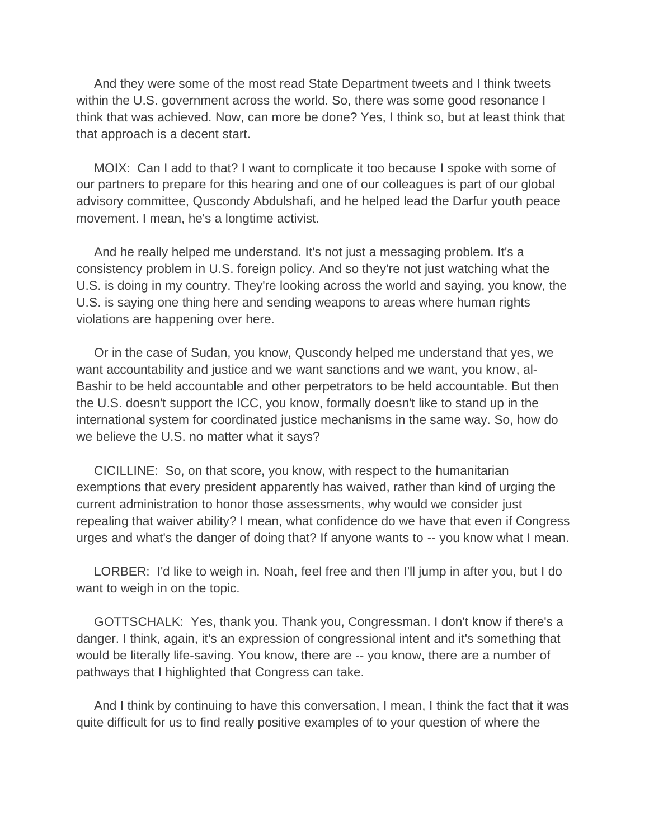And they were some of the most read State Department tweets and I think tweets within the U.S. government across the world. So, there was some good resonance I think that was achieved. Now, can more be done? Yes, I think so, but at least think that that approach is a decent start.

 MOIX: Can I add to that? I want to complicate it too because I spoke with some of our partners to prepare for this hearing and one of our colleagues is part of our global advisory committee, Quscondy Abdulshafi, and he helped lead the Darfur youth peace movement. I mean, he's a longtime activist.

 And he really helped me understand. It's not just a messaging problem. It's a consistency problem in U.S. foreign policy. And so they're not just watching what the U.S. is doing in my country. They're looking across the world and saying, you know, the U.S. is saying one thing here and sending weapons to areas where human rights violations are happening over here.

 Or in the case of Sudan, you know, Quscondy helped me understand that yes, we want accountability and justice and we want sanctions and we want, you know, al-Bashir to be held accountable and other perpetrators to be held accountable. But then the U.S. doesn't support the ICC, you know, formally doesn't like to stand up in the international system for coordinated justice mechanisms in the same way. So, how do we believe the U.S. no matter what it says?

 CICILLINE: So, on that score, you know, with respect to the humanitarian exemptions that every president apparently has waived, rather than kind of urging the current administration to honor those assessments, why would we consider just repealing that waiver ability? I mean, what confidence do we have that even if Congress urges and what's the danger of doing that? If anyone wants to -- you know what I mean.

 LORBER: I'd like to weigh in. Noah, feel free and then I'll jump in after you, but I do want to weigh in on the topic.

 GOTTSCHALK: Yes, thank you. Thank you, Congressman. I don't know if there's a danger. I think, again, it's an expression of congressional intent and it's something that would be literally life-saving. You know, there are -- you know, there are a number of pathways that I highlighted that Congress can take.

 And I think by continuing to have this conversation, I mean, I think the fact that it was quite difficult for us to find really positive examples of to your question of where the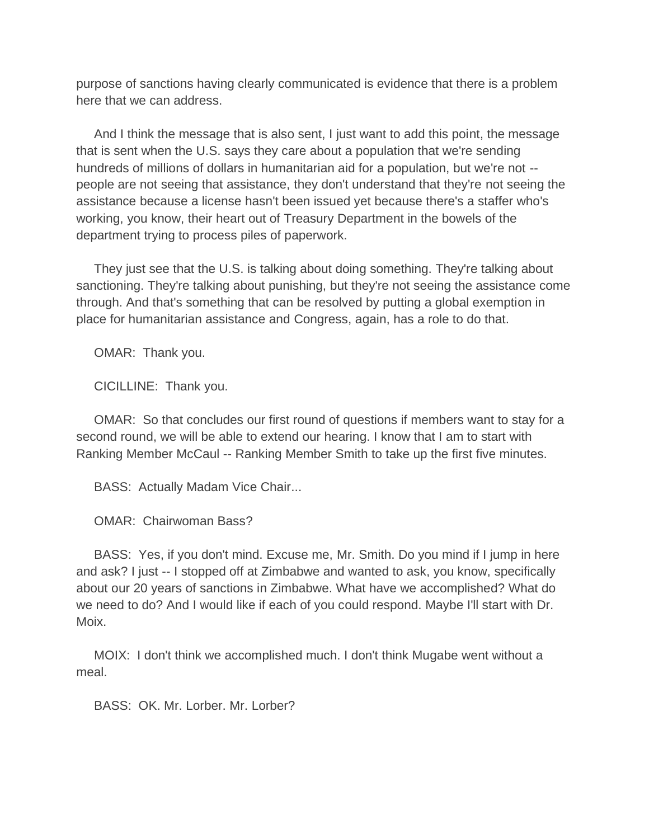purpose of sanctions having clearly communicated is evidence that there is a problem here that we can address.

 And I think the message that is also sent, I just want to add this point, the message that is sent when the U.S. says they care about a population that we're sending hundreds of millions of dollars in humanitarian aid for a population, but we're not - people are not seeing that assistance, they don't understand that they're not seeing the assistance because a license hasn't been issued yet because there's a staffer who's working, you know, their heart out of Treasury Department in the bowels of the department trying to process piles of paperwork.

 They just see that the U.S. is talking about doing something. They're talking about sanctioning. They're talking about punishing, but they're not seeing the assistance come through. And that's something that can be resolved by putting a global exemption in place for humanitarian assistance and Congress, again, has a role to do that.

OMAR: Thank you.

CICILLINE: Thank you.

 OMAR: So that concludes our first round of questions if members want to stay for a second round, we will be able to extend our hearing. I know that I am to start with Ranking Member McCaul -- Ranking Member Smith to take up the first five minutes.

BASS: Actually Madam Vice Chair...

OMAR: Chairwoman Bass?

 BASS: Yes, if you don't mind. Excuse me, Mr. Smith. Do you mind if I jump in here and ask? I just -- I stopped off at Zimbabwe and wanted to ask, you know, specifically about our 20 years of sanctions in Zimbabwe. What have we accomplished? What do we need to do? And I would like if each of you could respond. Maybe I'll start with Dr. Moix.

 MOIX: I don't think we accomplished much. I don't think Mugabe went without a meal.

BASS: OK. Mr. Lorber. Mr. Lorber?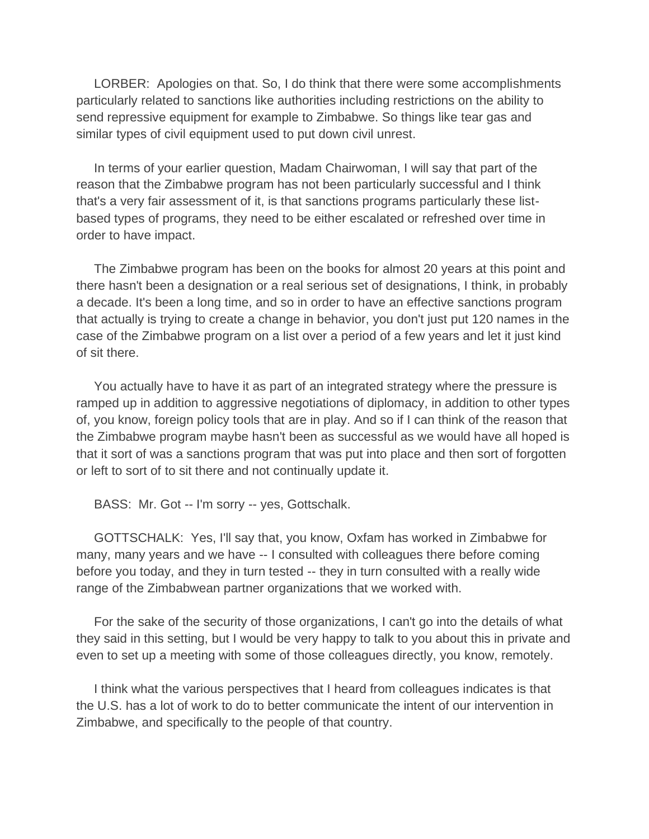LORBER: Apologies on that. So, I do think that there were some accomplishments particularly related to sanctions like authorities including restrictions on the ability to send repressive equipment for example to Zimbabwe. So things like tear gas and similar types of civil equipment used to put down civil unrest.

 In terms of your earlier question, Madam Chairwoman, I will say that part of the reason that the Zimbabwe program has not been particularly successful and I think that's a very fair assessment of it, is that sanctions programs particularly these listbased types of programs, they need to be either escalated or refreshed over time in order to have impact.

 The Zimbabwe program has been on the books for almost 20 years at this point and there hasn't been a designation or a real serious set of designations, I think, in probably a decade. It's been a long time, and so in order to have an effective sanctions program that actually is trying to create a change in behavior, you don't just put 120 names in the case of the Zimbabwe program on a list over a period of a few years and let it just kind of sit there.

 You actually have to have it as part of an integrated strategy where the pressure is ramped up in addition to aggressive negotiations of diplomacy, in addition to other types of, you know, foreign policy tools that are in play. And so if I can think of the reason that the Zimbabwe program maybe hasn't been as successful as we would have all hoped is that it sort of was a sanctions program that was put into place and then sort of forgotten or left to sort of to sit there and not continually update it.

BASS: Mr. Got -- I'm sorry -- yes, Gottschalk.

 GOTTSCHALK: Yes, I'll say that, you know, Oxfam has worked in Zimbabwe for many, many years and we have -- I consulted with colleagues there before coming before you today, and they in turn tested -- they in turn consulted with a really wide range of the Zimbabwean partner organizations that we worked with.

 For the sake of the security of those organizations, I can't go into the details of what they said in this setting, but I would be very happy to talk to you about this in private and even to set up a meeting with some of those colleagues directly, you know, remotely.

 I think what the various perspectives that I heard from colleagues indicates is that the U.S. has a lot of work to do to better communicate the intent of our intervention in Zimbabwe, and specifically to the people of that country.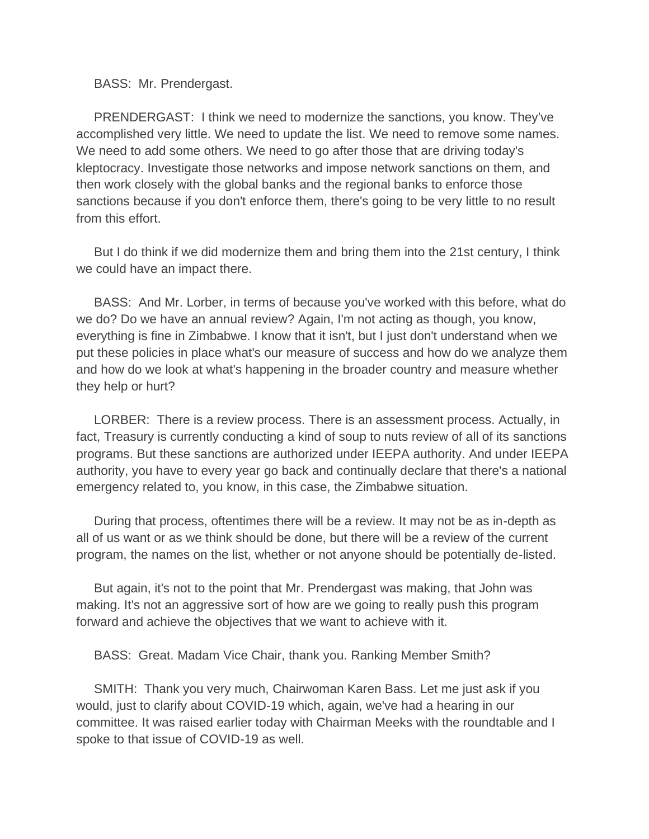BASS: Mr. Prendergast.

 PRENDERGAST: I think we need to modernize the sanctions, you know. They've accomplished very little. We need to update the list. We need to remove some names. We need to add some others. We need to go after those that are driving today's kleptocracy. Investigate those networks and impose network sanctions on them, and then work closely with the global banks and the regional banks to enforce those sanctions because if you don't enforce them, there's going to be very little to no result from this effort.

 But I do think if we did modernize them and bring them into the 21st century, I think we could have an impact there.

 BASS: And Mr. Lorber, in terms of because you've worked with this before, what do we do? Do we have an annual review? Again, I'm not acting as though, you know, everything is fine in Zimbabwe. I know that it isn't, but I just don't understand when we put these policies in place what's our measure of success and how do we analyze them and how do we look at what's happening in the broader country and measure whether they help or hurt?

 LORBER: There is a review process. There is an assessment process. Actually, in fact, Treasury is currently conducting a kind of soup to nuts review of all of its sanctions programs. But these sanctions are authorized under IEEPA authority. And under IEEPA authority, you have to every year go back and continually declare that there's a national emergency related to, you know, in this case, the Zimbabwe situation.

 During that process, oftentimes there will be a review. It may not be as in-depth as all of us want or as we think should be done, but there will be a review of the current program, the names on the list, whether or not anyone should be potentially de-listed.

 But again, it's not to the point that Mr. Prendergast was making, that John was making. It's not an aggressive sort of how are we going to really push this program forward and achieve the objectives that we want to achieve with it.

BASS: Great. Madam Vice Chair, thank you. Ranking Member Smith?

 SMITH: Thank you very much, Chairwoman Karen Bass. Let me just ask if you would, just to clarify about COVID-19 which, again, we've had a hearing in our committee. It was raised earlier today with Chairman Meeks with the roundtable and I spoke to that issue of COVID-19 as well.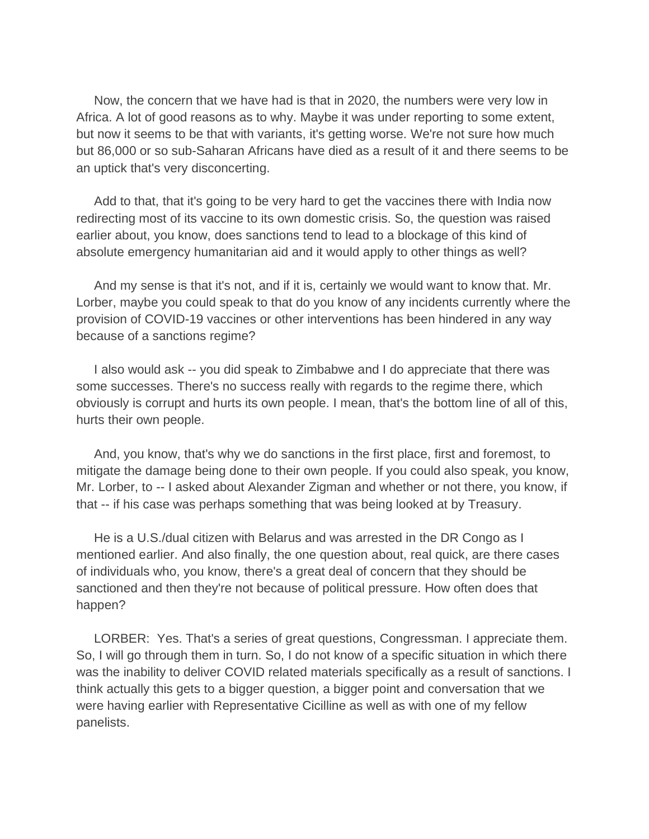Now, the concern that we have had is that in 2020, the numbers were very low in Africa. A lot of good reasons as to why. Maybe it was under reporting to some extent, but now it seems to be that with variants, it's getting worse. We're not sure how much but 86,000 or so sub-Saharan Africans have died as a result of it and there seems to be an uptick that's very disconcerting.

 Add to that, that it's going to be very hard to get the vaccines there with India now redirecting most of its vaccine to its own domestic crisis. So, the question was raised earlier about, you know, does sanctions tend to lead to a blockage of this kind of absolute emergency humanitarian aid and it would apply to other things as well?

 And my sense is that it's not, and if it is, certainly we would want to know that. Mr. Lorber, maybe you could speak to that do you know of any incidents currently where the provision of COVID-19 vaccines or other interventions has been hindered in any way because of a sanctions regime?

 I also would ask -- you did speak to Zimbabwe and I do appreciate that there was some successes. There's no success really with regards to the regime there, which obviously is corrupt and hurts its own people. I mean, that's the bottom line of all of this, hurts their own people.

 And, you know, that's why we do sanctions in the first place, first and foremost, to mitigate the damage being done to their own people. If you could also speak, you know, Mr. Lorber, to -- I asked about Alexander Zigman and whether or not there, you know, if that -- if his case was perhaps something that was being looked at by Treasury.

 He is a U.S./dual citizen with Belarus and was arrested in the DR Congo as I mentioned earlier. And also finally, the one question about, real quick, are there cases of individuals who, you know, there's a great deal of concern that they should be sanctioned and then they're not because of political pressure. How often does that happen?

 LORBER: Yes. That's a series of great questions, Congressman. I appreciate them. So, I will go through them in turn. So, I do not know of a specific situation in which there was the inability to deliver COVID related materials specifically as a result of sanctions. I think actually this gets to a bigger question, a bigger point and conversation that we were having earlier with Representative Cicilline as well as with one of my fellow panelists.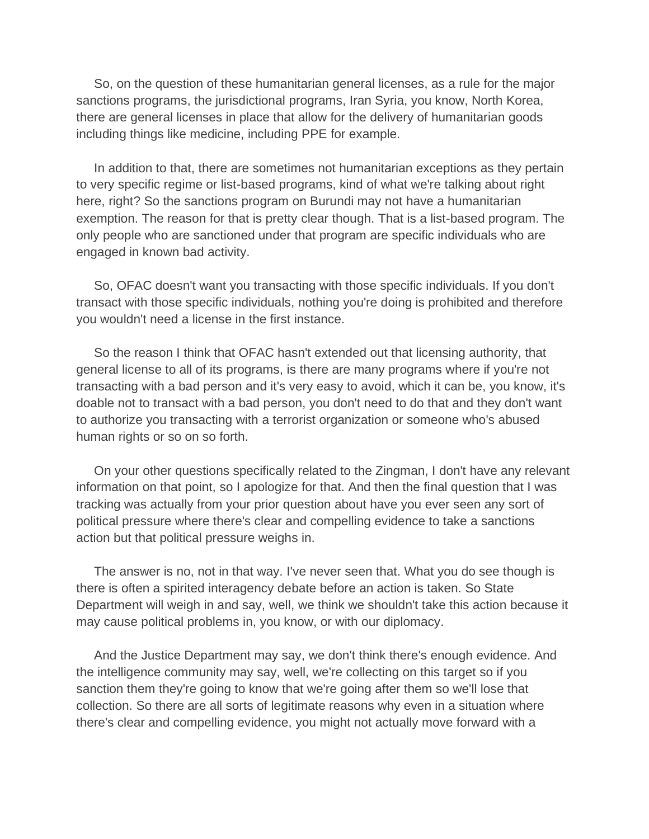So, on the question of these humanitarian general licenses, as a rule for the major sanctions programs, the jurisdictional programs, Iran Syria, you know, North Korea, there are general licenses in place that allow for the delivery of humanitarian goods including things like medicine, including PPE for example.

 In addition to that, there are sometimes not humanitarian exceptions as they pertain to very specific regime or list-based programs, kind of what we're talking about right here, right? So the sanctions program on Burundi may not have a humanitarian exemption. The reason for that is pretty clear though. That is a list-based program. The only people who are sanctioned under that program are specific individuals who are engaged in known bad activity.

 So, OFAC doesn't want you transacting with those specific individuals. If you don't transact with those specific individuals, nothing you're doing is prohibited and therefore you wouldn't need a license in the first instance.

 So the reason I think that OFAC hasn't extended out that licensing authority, that general license to all of its programs, is there are many programs where if you're not transacting with a bad person and it's very easy to avoid, which it can be, you know, it's doable not to transact with a bad person, you don't need to do that and they don't want to authorize you transacting with a terrorist organization or someone who's abused human rights or so on so forth.

 On your other questions specifically related to the Zingman, I don't have any relevant information on that point, so I apologize for that. And then the final question that I was tracking was actually from your prior question about have you ever seen any sort of political pressure where there's clear and compelling evidence to take a sanctions action but that political pressure weighs in.

 The answer is no, not in that way. I've never seen that. What you do see though is there is often a spirited interagency debate before an action is taken. So State Department will weigh in and say, well, we think we shouldn't take this action because it may cause political problems in, you know, or with our diplomacy.

 And the Justice Department may say, we don't think there's enough evidence. And the intelligence community may say, well, we're collecting on this target so if you sanction them they're going to know that we're going after them so we'll lose that collection. So there are all sorts of legitimate reasons why even in a situation where there's clear and compelling evidence, you might not actually move forward with a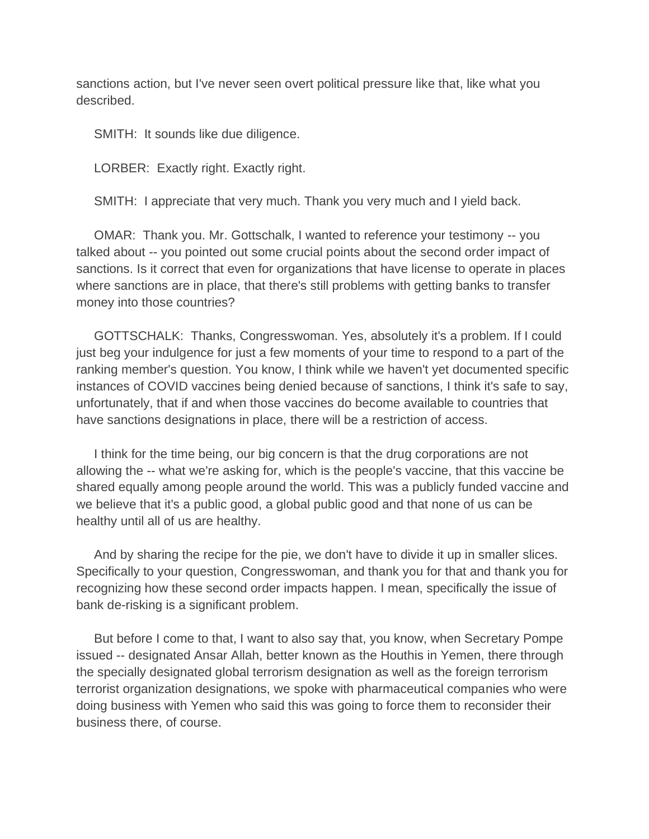sanctions action, but I've never seen overt political pressure like that, like what you described.

SMITH: It sounds like due diligence.

LORBER: Exactly right. Exactly right.

SMITH: I appreciate that very much. Thank you very much and I yield back.

 OMAR: Thank you. Mr. Gottschalk, I wanted to reference your testimony -- you talked about -- you pointed out some crucial points about the second order impact of sanctions. Is it correct that even for organizations that have license to operate in places where sanctions are in place, that there's still problems with getting banks to transfer money into those countries?

 GOTTSCHALK: Thanks, Congresswoman. Yes, absolutely it's a problem. If I could just beg your indulgence for just a few moments of your time to respond to a part of the ranking member's question. You know, I think while we haven't yet documented specific instances of COVID vaccines being denied because of sanctions, I think it's safe to say, unfortunately, that if and when those vaccines do become available to countries that have sanctions designations in place, there will be a restriction of access.

 I think for the time being, our big concern is that the drug corporations are not allowing the -- what we're asking for, which is the people's vaccine, that this vaccine be shared equally among people around the world. This was a publicly funded vaccine and we believe that it's a public good, a global public good and that none of us can be healthy until all of us are healthy.

 And by sharing the recipe for the pie, we don't have to divide it up in smaller slices. Specifically to your question, Congresswoman, and thank you for that and thank you for recognizing how these second order impacts happen. I mean, specifically the issue of bank de-risking is a significant problem.

 But before I come to that, I want to also say that, you know, when Secretary Pompe issued -- designated Ansar Allah, better known as the Houthis in Yemen, there through the specially designated global terrorism designation as well as the foreign terrorism terrorist organization designations, we spoke with pharmaceutical companies who were doing business with Yemen who said this was going to force them to reconsider their business there, of course.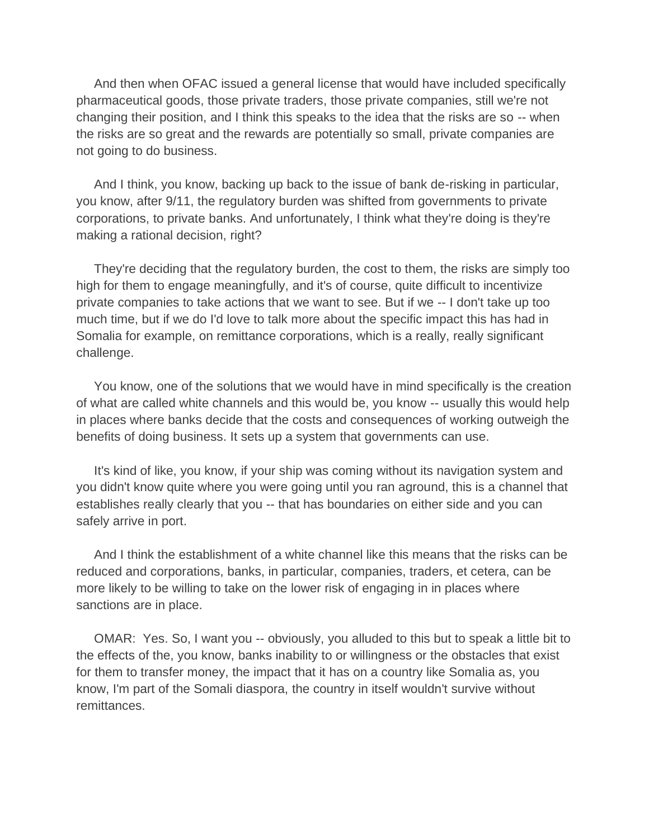And then when OFAC issued a general license that would have included specifically pharmaceutical goods, those private traders, those private companies, still we're not changing their position, and I think this speaks to the idea that the risks are so -- when the risks are so great and the rewards are potentially so small, private companies are not going to do business.

 And I think, you know, backing up back to the issue of bank de-risking in particular, you know, after 9/11, the regulatory burden was shifted from governments to private corporations, to private banks. And unfortunately, I think what they're doing is they're making a rational decision, right?

 They're deciding that the regulatory burden, the cost to them, the risks are simply too high for them to engage meaningfully, and it's of course, quite difficult to incentivize private companies to take actions that we want to see. But if we -- I don't take up too much time, but if we do I'd love to talk more about the specific impact this has had in Somalia for example, on remittance corporations, which is a really, really significant challenge.

 You know, one of the solutions that we would have in mind specifically is the creation of what are called white channels and this would be, you know -- usually this would help in places where banks decide that the costs and consequences of working outweigh the benefits of doing business. It sets up a system that governments can use.

 It's kind of like, you know, if your ship was coming without its navigation system and you didn't know quite where you were going until you ran aground, this is a channel that establishes really clearly that you -- that has boundaries on either side and you can safely arrive in port.

 And I think the establishment of a white channel like this means that the risks can be reduced and corporations, banks, in particular, companies, traders, et cetera, can be more likely to be willing to take on the lower risk of engaging in in places where sanctions are in place.

 OMAR: Yes. So, I want you -- obviously, you alluded to this but to speak a little bit to the effects of the, you know, banks inability to or willingness or the obstacles that exist for them to transfer money, the impact that it has on a country like Somalia as, you know, I'm part of the Somali diaspora, the country in itself wouldn't survive without remittances.